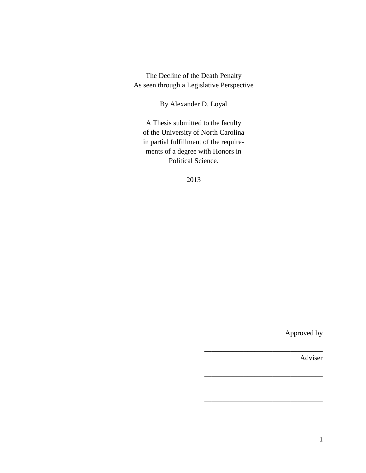The Decline of the Death Penalty As seen through a Legislative Perspective

By Alexander D. Loyal

A Thesis submitted to the faculty of the University of North Carolina in partial fulfillment of the requirements of a degree with Honors in Political Science.

2013

Approved by

\_\_\_\_\_\_\_\_\_\_\_\_\_\_\_\_\_\_\_\_\_\_\_\_\_\_\_\_\_\_\_\_\_

 $\overline{\phantom{a}}$  , which is a set of the set of the set of the set of the set of the set of the set of the set of the set of the set of the set of the set of the set of the set of the set of the set of the set of the set of th

 $\overline{\phantom{a}}$  , which is a set of the set of the set of the set of the set of the set of the set of the set of the set of the set of the set of the set of the set of the set of the set of the set of the set of the set of th

Adviser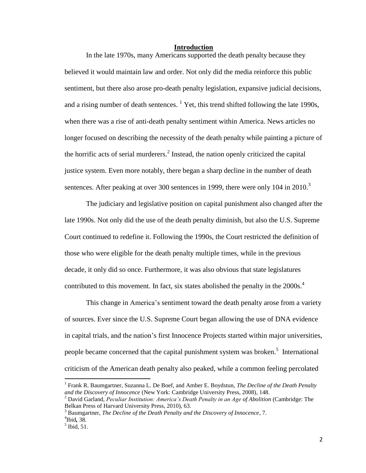#### **Introduction**

In the late 1970s, many Americans supported the death penalty because they believed it would maintain law and order. Not only did the media reinforce this public sentiment, but there also arose pro-death penalty legislation, expansive judicial decisions, and a rising number of death sentences.  $<sup>1</sup>$  Yet, this trend shifted following the late 1990s,</sup> when there was a rise of anti-death penalty sentiment within America. News articles no longer focused on describing the necessity of the death penalty while painting a picture of the horrific acts of serial murderers.<sup>2</sup> Instead, the nation openly criticized the capital justice system. Even more notably, there began a sharp decline in the number of death sentences. After peaking at over 300 sentences in 1999, there were only 104 in 2010.<sup>3</sup>

The judiciary and legislative position on capital punishment also changed after the late 1990s. Not only did the use of the death penalty diminish, but also the U.S. Supreme Court continued to redefine it. Following the 1990s, the Court restricted the definition of those who were eligible for the death penalty multiple times, while in the previous decade, it only did so once. Furthermore, it was also obvious that state legislatures contributed to this movement. In fact, six states abolished the penalty in the 2000s.<sup>4</sup>

This change in America's sentiment toward the death penalty arose from a variety of sources. Ever since the U.S. Supreme Court began allowing the use of DNA evidence in capital trials, and the nation's first Innocence Projects started within major universities, people became concerned that the capital punishment system was broken.<sup>5</sup> International criticism of the American death penalty also peaked, while a common feeling percolated

<sup>&</sup>lt;sup>1</sup> Frank R. Baumgartner, Suzanna L. De Boef, and Amber E. Boydstun, *The Decline of the Death Penalty and the Discovery of Innocence* (New York: Cambridge University Press, 2008), 148.

<sup>2</sup> David Garland, *Peculiar Institution: America's Death Penalty in an Age of Abolition* (Cambridge: The Belkan Press of Harvard University Press, 2010), 63.

<sup>3</sup> Baumgartner, *The Decline of the Death Penalty and the Discovery of Innocence*, 7.

<sup>4</sup> Ibid*,* 38*.* 

 $<sup>5</sup>$  Ibid, 51.</sup>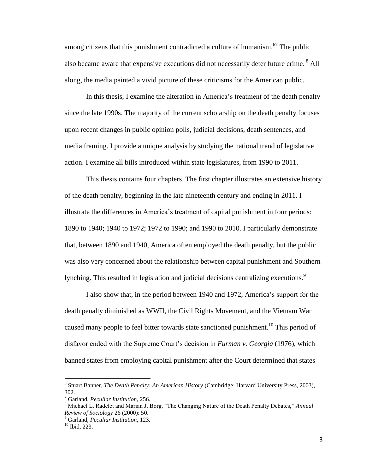among citizens that this punishment contradicted a culture of humanism.<sup>67</sup> The public also became aware that expensive executions did not necessarily deter future crime. <sup>8</sup> All along, the media painted a vivid picture of these criticisms for the American public.

In this thesis, I examine the alteration in America's treatment of the death penalty since the late 1990s. The majority of the current scholarship on the death penalty focuses upon recent changes in public opinion polls, judicial decisions, death sentences, and media framing. I provide a unique analysis by studying the national trend of legislative action. I examine all bills introduced within state legislatures, from 1990 to 2011.

This thesis contains four chapters. The first chapter illustrates an extensive history of the death penalty, beginning in the late nineteenth century and ending in 2011. I illustrate the differences in America's treatment of capital punishment in four periods: 1890 to 1940; 1940 to 1972; 1972 to 1990; and 1990 to 2010. I particularly demonstrate that, between 1890 and 1940, America often employed the death penalty, but the public was also very concerned about the relationship between capital punishment and Southern lynching. This resulted in legislation and judicial decisions centralizing executions.<sup>9</sup>

I also show that, in the period between 1940 and 1972, America's support for the death penalty diminished as WWII, the Civil Rights Movement, and the Vietnam War caused many people to feel bitter towards state sanctioned punishment.<sup>10</sup> This period of disfavor ended with the Supreme Court's decision in *Furman v. Georgia* (1976), which banned states from employing capital punishment after the Court determined that states

<sup>6</sup> Stuart Banner, *The Death Penalty: An American History* (Cambridge: Harvard University Press, 2003), 302.

<sup>7</sup> Garland, *Peculiar Institution*, 256.

<sup>8</sup> Michael L. Radelet and Marian J. Borg, "The Changing Nature of the Death Penalty Debates," *Annual Review of Sociology* 26 (2000): 50.

<sup>9</sup> Garland, *Peculiar Institution*, 123.

<sup>10</sup> Ibid, 223.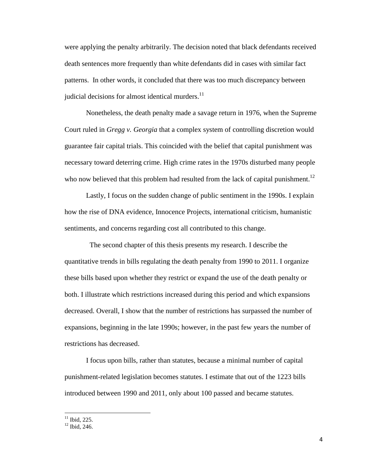were applying the penalty arbitrarily. The decision noted that black defendants received death sentences more frequently than white defendants did in cases with similar fact patterns. In other words, it concluded that there was too much discrepancy between judicial decisions for almost identical murders. $^{11}$ 

Nonetheless, the death penalty made a savage return in 1976, when the Supreme Court ruled in *Gregg v. Georgia* that a complex system of controlling discretion would guarantee fair capital trials. This coincided with the belief that capital punishment was necessary toward deterring crime. High crime rates in the 1970s disturbed many people who now believed that this problem had resulted from the lack of capital punishment.<sup>12</sup>

Lastly, I focus on the sudden change of public sentiment in the 1990s. I explain how the rise of DNA evidence, Innocence Projects, international criticism, humanistic sentiments, and concerns regarding cost all contributed to this change.

 The second chapter of this thesis presents my research. I describe the quantitative trends in bills regulating the death penalty from 1990 to 2011. I organize these bills based upon whether they restrict or expand the use of the death penalty or both. I illustrate which restrictions increased during this period and which expansions decreased. Overall, I show that the number of restrictions has surpassed the number of expansions, beginning in the late 1990s; however, in the past few years the number of restrictions has decreased.

I focus upon bills, rather than statutes, because a minimal number of capital punishment-related legislation becomes statutes. I estimate that out of the 1223 bills introduced between 1990 and 2011, only about 100 passed and became statutes.

 $11$  Ibid, 225.

<sup>&</sup>lt;sup>12</sup> Ibid. 246.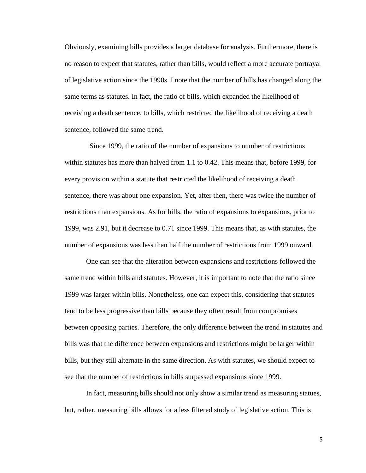Obviously, examining bills provides a larger database for analysis. Furthermore, there is no reason to expect that statutes, rather than bills, would reflect a more accurate portrayal of legislative action since the 1990s. I note that the number of bills has changed along the same terms as statutes. In fact, the ratio of bills, which expanded the likelihood of receiving a death sentence, to bills, which restricted the likelihood of receiving a death sentence, followed the same trend.

 Since 1999, the ratio of the number of expansions to number of restrictions within statutes has more than halved from 1.1 to 0.42. This means that, before 1999, for every provision within a statute that restricted the likelihood of receiving a death sentence, there was about one expansion. Yet, after then, there was twice the number of restrictions than expansions. As for bills, the ratio of expansions to expansions, prior to 1999, was 2.91, but it decrease to 0.71 since 1999. This means that, as with statutes, the number of expansions was less than half the number of restrictions from 1999 onward.

One can see that the alteration between expansions and restrictions followed the same trend within bills and statutes. However, it is important to note that the ratio since 1999 was larger within bills. Nonetheless, one can expect this, considering that statutes tend to be less progressive than bills because they often result from compromises between opposing parties. Therefore, the only difference between the trend in statutes and bills was that the difference between expansions and restrictions might be larger within bills, but they still alternate in the same direction. As with statutes, we should expect to see that the number of restrictions in bills surpassed expansions since 1999.

In fact, measuring bills should not only show a similar trend as measuring statues, but, rather, measuring bills allows for a less filtered study of legislative action. This is

5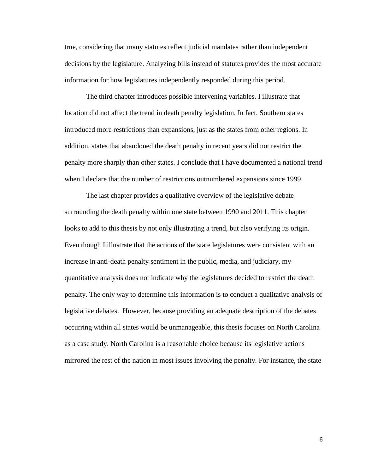true, considering that many statutes reflect judicial mandates rather than independent decisions by the legislature. Analyzing bills instead of statutes provides the most accurate information for how legislatures independently responded during this period.

The third chapter introduces possible intervening variables. I illustrate that location did not affect the trend in death penalty legislation. In fact, Southern states introduced more restrictions than expansions, just as the states from other regions. In addition, states that abandoned the death penalty in recent years did not restrict the penalty more sharply than other states. I conclude that I have documented a national trend when I declare that the number of restrictions outnumbered expansions since 1999.

The last chapter provides a qualitative overview of the legislative debate surrounding the death penalty within one state between 1990 and 2011. This chapter looks to add to this thesis by not only illustrating a trend, but also verifying its origin. Even though I illustrate that the actions of the state legislatures were consistent with an increase in anti-death penalty sentiment in the public, media, and judiciary, my quantitative analysis does not indicate why the legislatures decided to restrict the death penalty. The only way to determine this information is to conduct a qualitative analysis of legislative debates. However, because providing an adequate description of the debates occurring within all states would be unmanageable, this thesis focuses on North Carolina as a case study. North Carolina is a reasonable choice because its legislative actions mirrored the rest of the nation in most issues involving the penalty. For instance, the state

6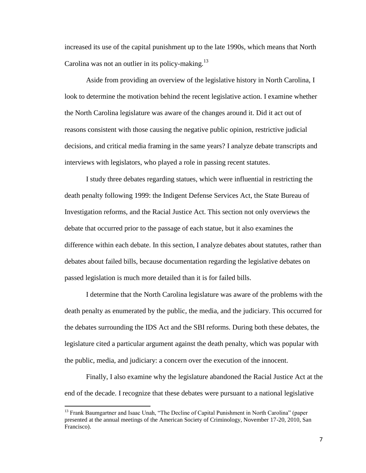increased its use of the capital punishment up to the late 1990s, which means that North Carolina was not an outlier in its policy-making.<sup>13</sup>

Aside from providing an overview of the legislative history in North Carolina, I look to determine the motivation behind the recent legislative action. I examine whether the North Carolina legislature was aware of the changes around it. Did it act out of reasons consistent with those causing the negative public opinion, restrictive judicial decisions, and critical media framing in the same years? I analyze debate transcripts and interviews with legislators, who played a role in passing recent statutes.

I study three debates regarding statues, which were influential in restricting the death penalty following 1999: the Indigent Defense Services Act, the State Bureau of Investigation reforms, and the Racial Justice Act. This section not only overviews the debate that occurred prior to the passage of each statue, but it also examines the difference within each debate. In this section, I analyze debates about statutes, rather than debates about failed bills, because documentation regarding the legislative debates on passed legislation is much more detailed than it is for failed bills.

I determine that the North Carolina legislature was aware of the problems with the death penalty as enumerated by the public, the media, and the judiciary. This occurred for the debates surrounding the IDS Act and the SBI reforms. During both these debates, the legislature cited a particular argument against the death penalty, which was popular with the public, media, and judiciary: a concern over the execution of the innocent.

Finally, I also examine why the legislature abandoned the Racial Justice Act at the end of the decade. I recognize that these debates were pursuant to a national legislative

<sup>&</sup>lt;sup>13</sup> Frank Baumgartner and Isaac Unah, "The Decline of Capital Punishment in North Carolina" (paper presented at the annual meetings of the American Society of Criminology, November 17-20, 2010, San Francisco).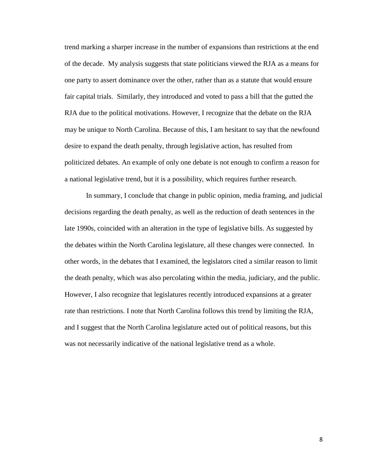trend marking a sharper increase in the number of expansions than restrictions at the end of the decade. My analysis suggests that state politicians viewed the RJA as a means for one party to assert dominance over the other, rather than as a statute that would ensure fair capital trials. Similarly, they introduced and voted to pass a bill that the gutted the RJA due to the political motivations. However, I recognize that the debate on the RJA may be unique to North Carolina. Because of this, I am hesitant to say that the newfound desire to expand the death penalty, through legislative action, has resulted from politicized debates. An example of only one debate is not enough to confirm a reason for a national legislative trend, but it is a possibility, which requires further research.

In summary, I conclude that change in public opinion, media framing, and judicial decisions regarding the death penalty, as well as the reduction of death sentences in the late 1990s, coincided with an alteration in the type of legislative bills. As suggested by the debates within the North Carolina legislature, all these changes were connected. In other words, in the debates that I examined, the legislators cited a similar reason to limit the death penalty, which was also percolating within the media, judiciary, and the public. However, I also recognize that legislatures recently introduced expansions at a greater rate than restrictions. I note that North Carolina follows this trend by limiting the RJA, and I suggest that the North Carolina legislature acted out of political reasons, but this was not necessarily indicative of the national legislative trend as a whole.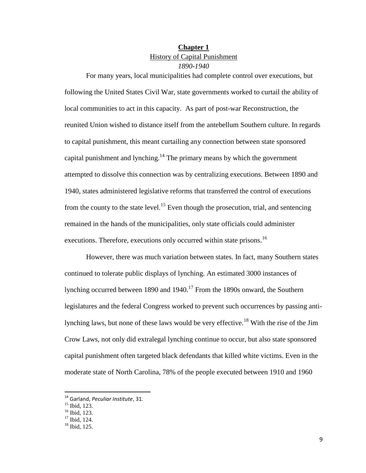# **Chapter 1** History of Capital Punishment *1890-1940*

For many years, local municipalities had complete control over executions, but following the United States Civil War, state governments worked to curtail the ability of local communities to act in this capacity. As part of post-war Reconstruction, the reunited Union wished to distance itself from the antebellum Southern culture. In regards to capital punishment, this meant curtailing any connection between state sponsored capital punishment and lynching.<sup>14</sup> The primary means by which the government attempted to dissolve this connection was by centralizing executions. Between 1890 and 1940, states administered legislative reforms that transferred the control of executions from the county to the state level.<sup>15</sup> Even though the prosecution, trial, and sentencing remained in the hands of the municipalities, only state officials could administer executions. Therefore, executions only occurred within state prisons.<sup>16</sup>

However, there was much variation between states. In fact, many Southern states continued to tolerate public displays of lynching. An estimated 3000 instances of lynching occurred between 1890 and 1940.<sup>17</sup> From the 1890s onward, the Southern legislatures and the federal Congress worked to prevent such occurrences by passing antilynching laws, but none of these laws would be very effective.<sup>18</sup> With the rise of the Jim Crow Laws, not only did extralegal lynching continue to occur, but also state sponsored capital punishment often targeted black defendants that killed white victims. Even in the moderate state of North Carolina, 78% of the people executed between 1910 and 1960

 $\overline{a}$ 

<sup>14</sup> Garland, *Peculiar Institute*, 31.

<sup>15</sup> Ibid, 123.

<sup>&</sup>lt;sup>16</sup> Ibid, 123.

 $17$  Ibid, 124.

<sup>18</sup> Ibid, 125.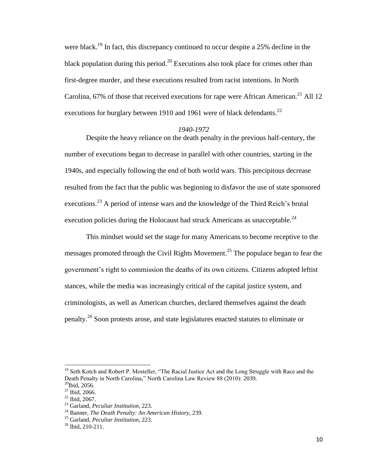were black.<sup>19</sup> In fact, this discrepancy continued to occur despite a 25% decline in the black population during this period.<sup>20</sup> Executions also took place for crimes other than first-degree murder, and these executions resulted from racist intentions. In North Carolina, 67% of those that received executions for rape were African American.<sup>21</sup> All 12 executions for burglary between 1910 and 1961 were of black defendants.<sup>22</sup>

#### *1940-1972*

Despite the heavy reliance on the death penalty in the previous half-century, the number of executions began to decrease in parallel with other countries, starting in the 1940s, and especially following the end of both world wars. This precipitous decrease resulted from the fact that the public was beginning to disfavor the use of state sponsored executions.<sup>23</sup> A period of intense wars and the knowledge of the Third Reich's brutal execution policies during the Holocaust had struck Americans as unacceptable.<sup>24</sup>

This mindset would set the stage for many Americans to become receptive to the messages promoted through the Civil Rights Movement.<sup>25</sup> The populace began to fear the government's right to commission the deaths of its own citizens. Citizens adopted leftist stances, while the media was increasingly critical of the capital justice system, and criminologists, as well as American churches, declared themselves against the death penalty.<sup>26</sup> Soon protests arose, and state legislatures enacted statutes to eliminate or

<sup>&</sup>lt;sup>19</sup> Seth Kotch and Robert P. Mosteller, "The Racial Justice Act and the Long Struggle with Race and the Death Penalty in North Carolina," North Carolina Law Review 88 (2010): 2039.

 $20$ Ibid, 2056.

 $21$  Ibid, 2066.  $22$  Ibid, 2067.

<sup>23</sup> Garland, *Peculiar Institution*, 223.

<sup>24</sup> Banner, *The Death Penalty: An American History*, 239.

<sup>25</sup> Garland, *Peculiar Institution*, 223.

 $26$  Ibid, 210-211.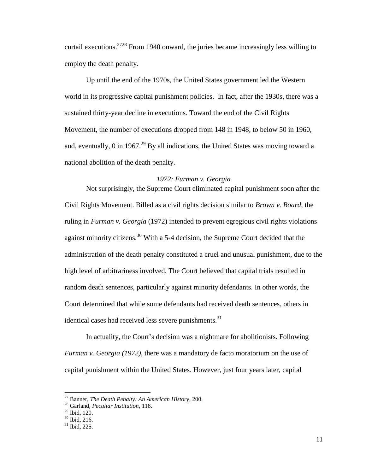curtail executions.<sup>2728</sup> From 1940 onward, the juries became increasingly less willing to employ the death penalty.

Up until the end of the 1970s, the United States government led the Western world in its progressive capital punishment policies. In fact, after the 1930s, there was a sustained thirty-year decline in executions. Toward the end of the Civil Rights Movement, the number of executions dropped from 148 in 1948, to below 50 in 1960, and, eventually, 0 in 1967.<sup>29</sup> By all indications, the United States was moving toward a national abolition of the death penalty.

### *1972: Furman v. Georgia*

Not surprisingly, the Supreme Court eliminated capital punishment soon after the Civil Rights Movement. Billed as a civil rights decision similar to *Brown v. Board*, the ruling in *Furman v. Georgia* (1972) intended to prevent egregious civil rights violations against minority citizens.<sup>30</sup> With a 5-4 decision, the Supreme Court decided that the administration of the death penalty constituted a cruel and unusual punishment, due to the high level of arbitrariness involved. The Court believed that capital trials resulted in random death sentences, particularly against minority defendants. In other words, the Court determined that while some defendants had received death sentences, others in identical cases had received less severe punishments.<sup>31</sup>

In actuality, the Court's decision was a nightmare for abolitionists. Following *Furman v. Georgia (1972)*, there was a mandatory de facto moratorium on the use of capital punishment within the United States. However, just four years later, capital

 $\overline{a}$ 

<sup>27</sup> Banner, *The Death Penalty: An American History*, 200.

<sup>28</sup> Garland, *Peculiar Institution*, 118.

<sup>29</sup> Ibid, 120.

<sup>30</sup> Ibid, 216.

<sup>31</sup> Ibid, 225.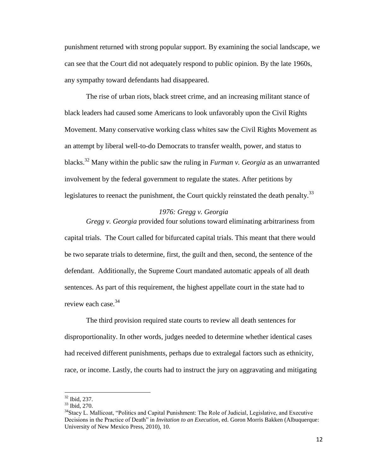punishment returned with strong popular support. By examining the social landscape, we can see that the Court did not adequately respond to public opinion. By the late 1960s, any sympathy toward defendants had disappeared.

The rise of urban riots, black street crime, and an increasing militant stance of black leaders had caused some Americans to look unfavorably upon the Civil Rights Movement. Many conservative working class whites saw the Civil Rights Movement as an attempt by liberal well-to-do Democrats to transfer wealth, power, and status to blacks.<sup>32</sup> Many within the public saw the ruling in *Furman v. Georgia* as an unwarranted involvement by the federal government to regulate the states. After petitions by legislatures to reenact the punishment, the Court quickly reinstated the death penalty.<sup>33</sup>

#### *1976: Gregg v. Georgia*

*Gregg v. Georgia* provided four solutions toward eliminating arbitrariness from capital trials. The Court called for bifurcated capital trials. This meant that there would be two separate trials to determine, first, the guilt and then, second, the sentence of the defendant. Additionally, the Supreme Court mandated automatic appeals of all death sentences. As part of this requirement, the highest appellate court in the state had to review each case.<sup>34</sup>

The third provision required state courts to review all death sentences for disproportionality. In other words, judges needed to determine whether identical cases had received different punishments, perhaps due to extralegal factors such as ethnicity, race, or income. Lastly, the courts had to instruct the jury on aggravating and mitigating

 $\overline{a}$ 

<sup>32</sup> Ibid, 237.

<sup>33</sup> Ibid, 270.

<sup>&</sup>lt;sup>34</sup>Stacy L. Mallicoat, "Politics and Capital Punishment: The Role of Judicial, Legislative, and Executive Decisions in the Practice of Death" in *Invitation to an Execution*, ed. Goron Morris Bakken (Albuquerque: University of New Mexico Press, 2010), 10.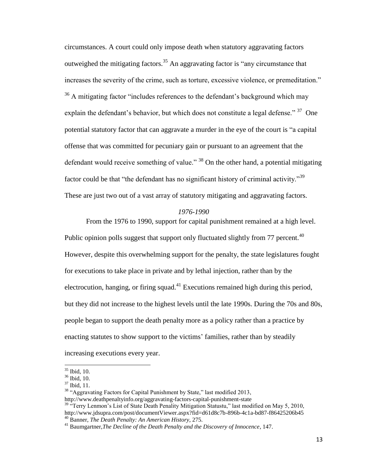circumstances. A court could only impose death when statutory aggravating factors outweighed the mitigating factors.<sup>35</sup> An aggravating factor is "any circumstance that increases the severity of the crime, such as torture, excessive violence, or premeditation." <sup>36</sup> A mitigating factor "includes references to the defendant's background which may explain the defendant's behavior, but which does not constitute a legal defense." <sup>37</sup> One potential statutory factor that can aggravate a murder in the eye of the court is "a capital offense that was committed for pecuniary gain or pursuant to an agreement that the defendant would receive something of value."  $38$  On the other hand, a potential mitigating factor could be that "the defendant has no significant history of criminal activity."<sup>39</sup> These are just two out of a vast array of statutory mitigating and aggravating factors.

### *1976-1990*

From the 1976 to 1990, support for capital punishment remained at a high level. Public opinion polls suggest that support only fluctuated slightly from 77 percent.<sup>40</sup> However, despite this overwhelming support for the penalty, the state legislatures fought for executions to take place in private and by lethal injection, rather than by the electrocution, hanging, or firing squad.<sup>41</sup> Executions remained high during this period, but they did not increase to the highest levels until the late 1990s. During the 70s and 80s, people began to support the death penalty more as a policy rather than a practice by enacting statutes to show support to the victims' families, rather than by steadily increasing executions every year.

<sup>35</sup> Ibid, 10.

<sup>36</sup> Ibid, 10.

<sup>37</sup> Ibid, 11.

<sup>&</sup>lt;sup>38</sup> "Aggravating Factors for Capital Punishment by State," last modified 2013, http://www.deathpenaltyinfo.org/aggravating-factors-capital-punishment-state

 $39$  "Terry Lenmon's List of State Death Penality Mitigation Statustu," last modified on May 5, 2010, http://www.jdsupra.com/post/documentViewer.aspx?fid=d61d8c7b-896b-4c1a-bd87-f86425206b45 <sup>40</sup> Banner, *The Death Penalty: An American History*, 275.

<sup>41</sup> Baumgartner,*The Decline of the Death Penalty and the Discovery of Innocence*, 147.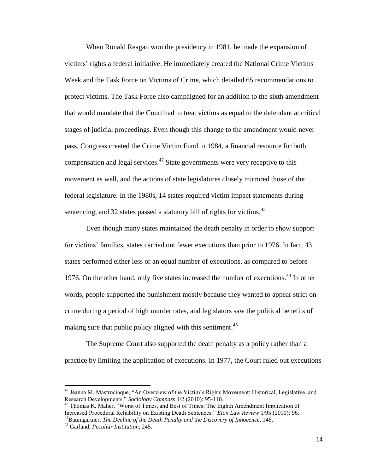When Ronald Reagan won the presidency in 1981, he made the expansion of victims' rights a federal initiative. He immediately created the National Crime Victims Week and the Task Force on Victims of Crime, which detailed 65 recommendations to protect victims. The Task Force also campaigned for an addition to the sixth amendment that would mandate that the Court had to treat victims as equal to the defendant at critical stages of judicial proceedings. Even though this change to the amendment would never pass, Congress created the Crime Victim Fund in 1984, a financial resource for both compensation and legal services.<sup>42</sup> State governments were very receptive to this movement as well, and the actions of state legislatures closely mirrored those of the federal legislature. In the 1980s, 14 states required victim impact statements during sentencing, and 32 states passed a statutory bill of rights for victims.<sup>43</sup>

Even though many states maintained the death penalty in order to show support for victims' families, states carried out fewer executions than prior to 1976. In fact, 43 states performed either less or an equal number of executions, as compared to before 1976. On the other hand, only five states increased the number of executions.<sup>44</sup> In other words, people supported the punishment mostly because they wanted to appear strict on crime during a period of high murder rates, and legislators saw the political benefits of making sure that public policy aligned with this sentiment.<sup>45</sup>

The Supreme Court also supported the death penalty as a policy rather than a practice by limiting the application of executions. In 1977, the Court ruled out executions

l

<sup>&</sup>lt;sup>42</sup> Jeanna M. Mastrocinque, "An Overview of the Victim's Rights Movement: Historical, Legislative, and Research Developments," *Sociology Compass* 4/2 (2010): 95-110.

<sup>&</sup>lt;sup>43</sup> Thomas K. Maher, "Worst of Times, and Best of Times: The Eighth Amendment Implication of Increased Procedural Reliability on Existing Death Sentences." *Elon Law Review* 1/95 (2010): 96. <sup>44</sup>Baumgartner, *The Decline of the Death Penalty and the Discovery of Innocence*, 146.

<sup>45</sup> Garland, *Peculiar Institution*, 245.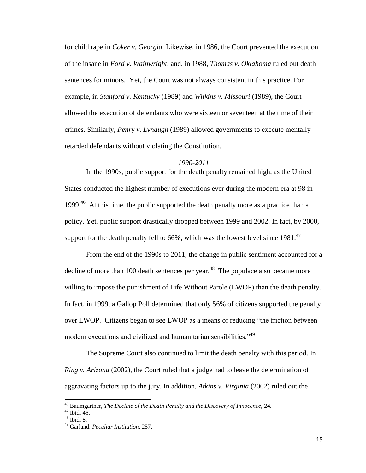for child rape in *Coker v. Georgia*. Likewise, in 1986, the Court prevented the execution of the insane in *Ford v. Wainwright*, and, in 1988, *Thomas v. Oklahoma* ruled out death sentences for minors. Yet, the Court was not always consistent in this practice. For example, in *Stanford v. Kentucky* (1989) and *Wilkins v. Missouri* (1989), the Court allowed the execution of defendants who were sixteen or seventeen at the time of their crimes. Similarly, *Penry v. Lynaugh* (1989) allowed governments to execute mentally retarded defendants without violating the Constitution.

### *1990-2011*

In the 1990s, public support for the death penalty remained high, as the United States conducted the highest number of executions ever during the modern era at 98 in 1999.<sup>46</sup> At this time, the public supported the death penalty more as a practice than a policy. Yet, public support drastically dropped between 1999 and 2002. In fact, by 2000, support for the death penalty fell to  $66\%$ , which was the lowest level since  $1981^{47}$ 

From the end of the 1990s to 2011, the change in public sentiment accounted for a decline of more than 100 death sentences per year.<sup>48</sup> The populace also became more willing to impose the punishment of Life Without Parole (LWOP) than the death penalty. In fact, in 1999, a Gallop Poll determined that only 56% of citizens supported the penalty over LWOP. Citizens began to see LWOP as a means of reducing "the friction between modern executions and civilized and humanitarian sensibilities."<sup>49</sup>

The Supreme Court also continued to limit the death penalty with this period. In *Ring v. Arizona* (2002), the Court ruled that a judge had to leave the determination of aggravating factors up to the jury. In addition, *Atkins v. Virginia* (2002) ruled out the

<sup>46</sup> Baumgartner, *The Decline of the Death Penalty and the Discovery of Innocence,* 24*.*

 $47$  Ibid,  $45$ .

 $48$  Ibid, 8.

<sup>49</sup> Garland, *Peculiar Institution*, 257.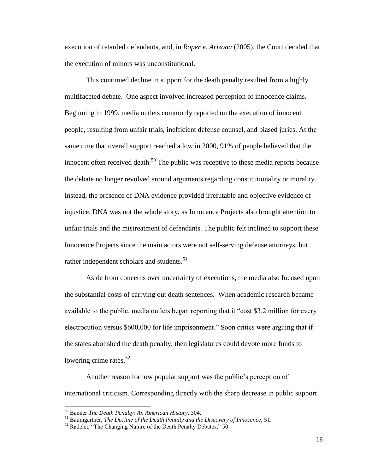execution of retarded defendants, and, in *Roper v. Arizona* (2005), the Court decided that the execution of minors was unconstitutional.

This continued decline in support for the death penalty resulted from a highly multifaceted debate. One aspect involved increased perception of innocence claims. Beginning in 1999, media outlets commonly reported on the execution of innocent people, resulting from unfair trials, inefficient defense counsel, and biased juries. At the same time that overall support reached a low in 2000, 91% of people believed that the innocent often received death.<sup>50</sup> The public was receptive to these media reports because the debate no longer revolved around arguments regarding constitutionality or morality. Instead, the presence of DNA evidence provided irrefutable and objective evidence of injustice. DNA was not the whole story, as Innocence Projects also brought attention to unfair trials and the mistreatment of defendants. The public felt inclined to support these Innocence Projects since the main actors were not self-serving defense attorneys, but rather independent scholars and students.<sup>51</sup>

Aside from concerns over uncertainty of executions, the media also focused upon the substantial costs of carrying out death sentences. When academic research became available to the public, media outlets began reporting that it "cost \$3.2 million for every electrocution versus \$600,000 for life imprisonment." Soon critics were arguing that if the states abolished the death penalty, then legislatures could devote more funds to lowering crime rates.<sup>52</sup>

Another reason for low popular support was the public's perception of international criticism. Corresponding directly with the sharp decrease in public support

<sup>50</sup> Banner *The Death Penalty: An American History*, 304.

<sup>51</sup> Baumgartner, *The Decline of the Death Penalty and the Discovery of Innocence,* 51.

<sup>&</sup>lt;sup>52</sup> Radelet, "The Changing Nature of the Death Penalty Debates," 50.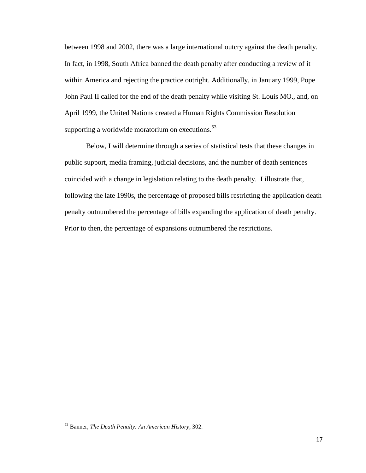between 1998 and 2002, there was a large international outcry against the death penalty. In fact, in 1998, South Africa banned the death penalty after conducting a review of it within America and rejecting the practice outright. Additionally, in January 1999, Pope John Paul II called for the end of the death penalty while visiting St. Louis MO., and, on April 1999, the United Nations created a Human Rights Commission Resolution supporting a worldwide moratorium on executions. $53$ 

Below, I will determine through a series of statistical tests that these changes in public support, media framing, judicial decisions, and the number of death sentences coincided with a change in legislation relating to the death penalty. I illustrate that, following the late 1990s, the percentage of proposed bills restricting the application death penalty outnumbered the percentage of bills expanding the application of death penalty. Prior to then, the percentage of expansions outnumbered the restrictions.

<sup>53</sup> Banner, *The Death Penalty: An American History*, 302.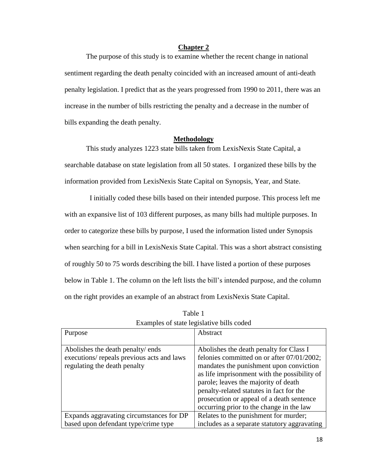## **Chapter 2**

The purpose of this study is to examine whether the recent change in national sentiment regarding the death penalty coincided with an increased amount of anti-death penalty legislation. I predict that as the years progressed from 1990 to 2011, there was an increase in the number of bills restricting the penalty and a decrease in the number of bills expanding the death penalty.

#### **Methodology**

This study analyzes 1223 state bills taken from LexisNexis State Capital, a searchable database on state legislation from all 50 states. I organized these bills by the information provided from LexisNexis State Capital on Synopsis, Year, and State.

 I initially coded these bills based on their intended purpose. This process left me with an expansive list of 103 different purposes, as many bills had multiple purposes. In order to categorize these bills by purpose, I used the information listed under Synopsis when searching for a bill in LexisNexis State Capital. This was a short abstract consisting of roughly 50 to 75 words describing the bill. I have listed a portion of these purposes below in Table 1. The column on the left lists the bill's intended purpose, and the column on the right provides an example of an abstract from LexisNexis State Capital.

| Purpose                                    | Abstract                                     |
|--------------------------------------------|----------------------------------------------|
|                                            |                                              |
| Abolishes the death penalty/ ends          | Abolishes the death penalty for Class I      |
| executions/ repeals previous acts and laws | felonies committed on or after 07/01/2002;   |
| regulating the death penalty               | mandates the punishment upon conviction      |
|                                            | as life imprisonment with the possibility of |
|                                            | parole; leaves the majority of death         |
|                                            | penalty-related statutes in fact for the     |
|                                            | prosecution or appeal of a death sentence    |
|                                            | occurring prior to the change in the law     |
| Expands aggravating circumstances for DP   | Relates to the punishment for murder;        |
| based upon defendant type/crime type       | includes as a separate statutory aggravating |

Table 1 Examples of state legislative bills coded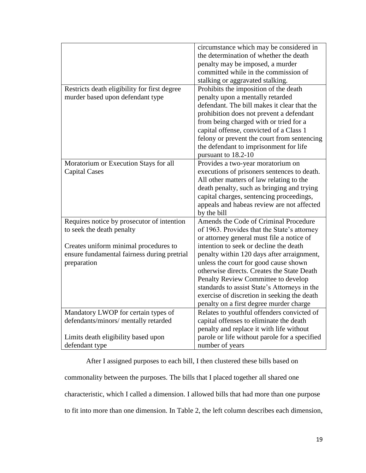|                                                       | circumstance which may be considered in                          |
|-------------------------------------------------------|------------------------------------------------------------------|
|                                                       | the determination of whether the death                           |
|                                                       | penalty may be imposed, a murder                                 |
|                                                       | committed while in the commission of                             |
|                                                       | stalking or aggravated stalking.                                 |
| Restricts death eligibility for first degree          | Prohibits the imposition of the death                            |
| murder based upon defendant type                      | penalty upon a mentally retarded                                 |
|                                                       | defendant. The bill makes it clear that the                      |
|                                                       | prohibition does not prevent a defendant                         |
|                                                       | from being charged with or tried for a                           |
|                                                       | capital offense, convicted of a Class 1                          |
|                                                       | felony or prevent the court from sentencing                      |
|                                                       | the defendant to imprisonment for life                           |
|                                                       | pursuant to 18.2-10                                              |
| Moratorium or Execution Stays for all                 | Provides a two-year moratorium on                                |
| <b>Capital Cases</b>                                  | executions of prisoners sentences to death.                      |
|                                                       | All other matters of law relating to the                         |
|                                                       | death penalty, such as bringing and trying                       |
|                                                       |                                                                  |
|                                                       | capital charges, sentencing proceedings,                         |
|                                                       | appeals and habeas review are not affected                       |
|                                                       | by the bill                                                      |
| Requires notice by prosecutor of intention            | Amends the Code of Criminal Procedure                            |
| to seek the death penalty                             | of 1963. Provides that the State's attorney                      |
|                                                       | or attorney general must file a notice of                        |
| Creates uniform minimal procedures to                 | intention to seek or decline the death                           |
| ensure fundamental fairness during pretrial           | penalty within 120 days after arraignment,                       |
| preparation                                           | unless the court for good cause shown                            |
|                                                       | otherwise directs. Creates the State Death                       |
|                                                       | Penalty Review Committee to develop                              |
|                                                       | standards to assist State's Attorneys in the                     |
|                                                       | exercise of discretion in seeking the death                      |
|                                                       | penalty on a first degree murder charge                          |
| Mandatory LWOP for certain types of                   | Relates to youthful offenders convicted of                       |
| defendants/minors/ mentally retarded                  | capital offenses to eliminate the death                          |
|                                                       | penalty and replace it with life without                         |
|                                                       |                                                                  |
|                                                       |                                                                  |
| Limits death eligibility based upon<br>defendant type | parole or life without parole for a specified<br>number of years |

After I assigned purposes to each bill, I then clustered these bills based on commonality between the purposes. The bills that I placed together all shared one characteristic, which I called a dimension. I allowed bills that had more than one purpose to fit into more than one dimension. In Table 2, the left column describes each dimension,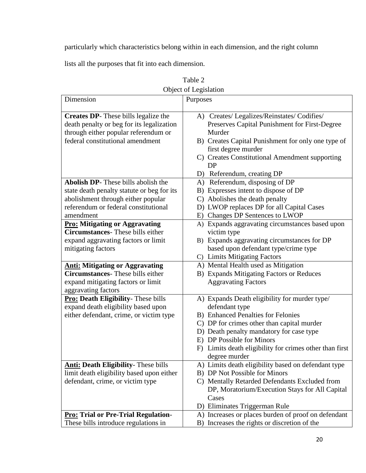particularly which characteristics belong within in each dimension, and the right column

lists all the purposes that fit into each dimension.

| Ovject of Legislation                                                                                                                                                        |          |                                                                                                                                                                                                                                             |
|------------------------------------------------------------------------------------------------------------------------------------------------------------------------------|----------|---------------------------------------------------------------------------------------------------------------------------------------------------------------------------------------------------------------------------------------------|
| Dimension                                                                                                                                                                    | Purposes |                                                                                                                                                                                                                                             |
| <b>Creates DP-</b> These bills legalize the<br>death penalty or beg for its legalization<br>through either popular referendum or<br>federal constitutional amendment         |          | A) Creates/ Legalizes/Reinstates/ Codifies/<br>Preserves Capital Punishment for First-Degree<br>Murder<br>B) Creates Capital Punishment for only one type of<br>first degree murder<br>C) Creates Constitutional Amendment supporting<br>DP |
|                                                                                                                                                                              |          | D) Referendum, creating DP                                                                                                                                                                                                                  |
| Abolish DP- These bills abolish the<br>state death penalty statute or beg for its<br>abolishment through either popular<br>referendum or federal constitutional<br>amendment |          | A) Referendum, disposing of DP<br>B) Expresses intent to dispose of DP<br>C) Abolishes the death penalty<br>D) LWOP replaces DP for all Capital Cases<br>E) Changes DP Sentences to LWOP                                                    |
| <b>Pro: Mitigating or Aggravating</b>                                                                                                                                        |          | A) Expands aggravating circumstances based upon                                                                                                                                                                                             |
| <b>Circumstances</b> -These bills either<br>expand aggravating factors or limit<br>mitigating factors                                                                        |          | victim type<br>B) Expands aggravating circumstances for DP<br>based upon defendant type/crime type<br>C) Limits Mitigating Factors                                                                                                          |
| <b>Anti: Mitigating or Aggravating</b>                                                                                                                                       |          | A) Mental Health used as Mitigation                                                                                                                                                                                                         |
| <b>Circumstances</b> -These bills either                                                                                                                                     |          | B) Expands Mitigating Factors or Reduces                                                                                                                                                                                                    |
| expand mitigating factors or limit<br>aggravating factors                                                                                                                    |          | <b>Aggravating Factors</b>                                                                                                                                                                                                                  |
| <b>Pro: Death Eligibility-</b> These bills                                                                                                                                   |          | A) Expands Death eligibility for murder type/                                                                                                                                                                                               |
| expand death eligibility based upon                                                                                                                                          |          | defendant type                                                                                                                                                                                                                              |
| either defendant, crime, or victim type                                                                                                                                      |          | B) Enhanced Penalties for Felonies                                                                                                                                                                                                          |
|                                                                                                                                                                              |          | C) DP for crimes other than capital murder                                                                                                                                                                                                  |
|                                                                                                                                                                              |          | D) Death penalty mandatory for case type                                                                                                                                                                                                    |
|                                                                                                                                                                              |          | E) DP Possible for Minors                                                                                                                                                                                                                   |
|                                                                                                                                                                              |          | F) Limits death eligibility for crimes other than first<br>degree murder                                                                                                                                                                    |
| <b>Anti: Death Eligibility-</b> These bills                                                                                                                                  |          | A) Limits death eligibility based on defendant type                                                                                                                                                                                         |
| limit death eligibility based upon either                                                                                                                                    |          | B) DP Not Possible for Minors                                                                                                                                                                                                               |
| defendant, crime, or victim type                                                                                                                                             |          | C) Mentally Retarded Defendants Excluded from                                                                                                                                                                                               |
|                                                                                                                                                                              |          | DP, Moratorium/Execution Stays for All Capital                                                                                                                                                                                              |
|                                                                                                                                                                              |          | Cases                                                                                                                                                                                                                                       |
|                                                                                                                                                                              |          | D) Eliminates Triggerman Rule                                                                                                                                                                                                               |
| <b>Pro: Trial or Pre-Trial Regulation-</b>                                                                                                                                   |          | A) Increases or places burden of proof on defendant                                                                                                                                                                                         |
| These bills introduce regulations in                                                                                                                                         |          | B) Increases the rights or discretion of the                                                                                                                                                                                                |

| Table 2               |
|-----------------------|
| Object of Legislation |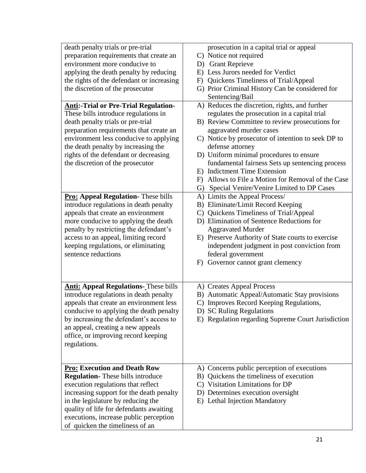| death penalty trials or pre-trial            | prosecution in a capital trial or appeal           |
|----------------------------------------------|----------------------------------------------------|
| preparation requirements that create an      | C) Notice not required                             |
| environment more conducive to                | D) Grant Reprieve                                  |
| applying the death penalty by reducing       | E) Less Jurors needed for Verdict                  |
| the rights of the defendant or increasing    | F) Quickens Timeliness of Trial/Appeal             |
| the discretion of the prosecutor             | G) Prior Criminal History Can be considered for    |
|                                              | Sentencing/Bail                                    |
| <b>Anti:-Trial or Pre-Trial Regulation-</b>  | A) Reduces the discretion, rights, and further     |
| These bills introduce regulations in         | regulates the prosecution in a capital trial       |
| death penalty trials or pre-trial            | B) Review Committee to review prosecutions for     |
| preparation requirements that create an      | aggravated murder cases                            |
| environment less conducive to applying       | C) Notice by prosecutor of intention to seek DP to |
| the death penalty by increasing the          | defense attorney                                   |
| rights of the defendant or decreasing        | D) Uniform minimal procedures to ensure            |
| the discretion of the prosecutor             | fundamental fairness Sets up sentencing process    |
|                                              | E) Indictment Time Extension                       |
|                                              | F) Allows to File a Motion for Removal of the Case |
|                                              | G) Special Venire/Venire Limited to DP Cases       |
| <b>Pro: Appeal Regulation-</b> These bills   | A) Limits the Appeal Process/                      |
| introduce regulations in death penalty       | B) Eliminate/Limit Record Keeping                  |
| appeals that create an environment           | C) Quickens Timeliness of Trial/Appeal             |
| more conducive to applying the death         | D) Elimination of Sentence Reductions for          |
| penalty by restricting the defendant's       | <b>Aggravated Murder</b>                           |
| access to an appeal, limiting record         | E) Preserve Authority of State courts to exercise  |
| keeping regulations, or eliminating          | independent judgment in post conviction from       |
| sentence reductions                          | federal government                                 |
|                                              | F) Governor cannot grant clemency                  |
|                                              |                                                    |
|                                              |                                                    |
| <b>Anti: Appeal Regulations-</b> These bills | A) Creates Appeal Process                          |
| introduce regulations in death penalty       | B) Automatic Appeal/Automatic Stay provisions      |
| appeals that create an environment less      | C) Improves Record Keeping Regulations,            |
| conducive to applying the death penalty      | D) SC Ruling Regulations                           |
| by increasing the defendant's access to      | E) Regulation regarding Supreme Court Jurisdiction |
| an appeal, creating a new appeals            |                                                    |
| office, or improving record keeping          |                                                    |
| regulations.                                 |                                                    |
|                                              |                                                    |
|                                              |                                                    |
| <b>Pro: Execution and Death Row</b>          | A) Concerns public perception of executions        |
| <b>Regulation-</b> These bills introduce     | B) Quickens the timeliness of execution            |
| execution regulations that reflect           | C) Visitation Limitations for DP                   |
| increasing support for the death penalty     | D) Determines execution oversight                  |
| in the legislature by reducing the           | E) Lethal Injection Mandatory                      |
| quality of life for defendants awaiting      |                                                    |
| executions, increase public perception       |                                                    |
| of quicken the timeliness of an              |                                                    |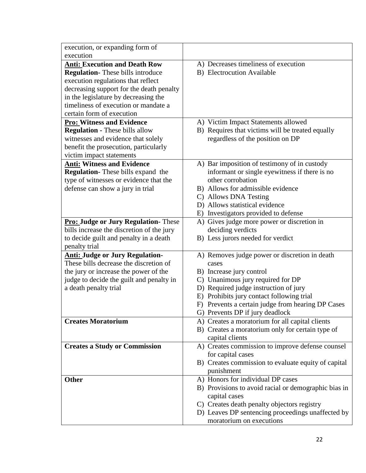| execution, or expanding form of             |                                                      |
|---------------------------------------------|------------------------------------------------------|
| execution                                   |                                                      |
| <b>Anti: Execution and Death Row</b>        | A) Decreases timeliness of execution                 |
| <b>Regulation-</b> These bills introduce    | B) Electrocution Available                           |
| execution regulations that reflect          |                                                      |
| decreasing support for the death penalty    |                                                      |
| in the legislature by decreasing the        |                                                      |
| timeliness of execution or mandate a        |                                                      |
| certain form of execution                   |                                                      |
| <b>Pro: Witness and Evidence</b>            | A) Victim Impact Statements allowed                  |
| <b>Regulation - These bills allow</b>       | B) Requires that victims will be treated equally     |
| witnesses and evidence that solely          | regardless of the position on DP                     |
| benefit the prosecution, particularly       |                                                      |
| victim impact statements                    |                                                      |
| <b>Anti: Witness and Evidence</b>           | A) Bar imposition of testimony of in custody         |
| <b>Regulation-</b> These bills expand the   | informant or single eyewitness if there is no        |
| type of witnesses or evidence that the      | other corrobation                                    |
| defense can show a jury in trial            | B) Allows for admissible evidence                    |
|                                             | C) Allows DNA Testing                                |
|                                             | D) Allows statistical evidence                       |
|                                             | E) Investigators provided to defense                 |
| <b>Pro: Judge or Jury Regulation-</b> These | A) Gives judge more power or discretion in           |
| bills increase the discretion of the jury   | deciding verdicts                                    |
| to decide guilt and penalty in a death      | B) Less jurors needed for verdict                    |
| penalty trial                               |                                                      |
| <b>Anti: Judge or Jury Regulation-</b>      | A) Removes judge power or discretion in death        |
| These bills decrease the discretion of      | cases                                                |
| the jury or increase the power of the       | B) Increase jury control                             |
| judge to decide the guilt and penalty in    | C) Unanimous jury required for DP                    |
| a death penalty trial                       | D) Required judge instruction of jury                |
|                                             | E) Prohibits jury contact following trial            |
|                                             | F) Prevents a certain judge from hearing DP Cases    |
|                                             | G) Prevents DP if jury deadlock                      |
| <b>Creates Moratorium</b>                   | A) Creates a moratorium for all capital clients      |
|                                             | B) Creates a moratorium only for certain type of     |
|                                             | capital clients                                      |
| <b>Creates a Study or Commission</b>        | A) Creates commission to improve defense counsel     |
|                                             | for capital cases                                    |
|                                             | B) Creates commission to evaluate equity of capital  |
|                                             | punishment                                           |
| <b>Other</b>                                | A) Honors for individual DP cases                    |
|                                             | B) Provisions to avoid racial or demographic bias in |
|                                             | capital cases                                        |
|                                             | C) Creates death penalty objectors registry          |
|                                             | D) Leaves DP sentencing proceedings unaffected by    |
|                                             | moratorium on executions                             |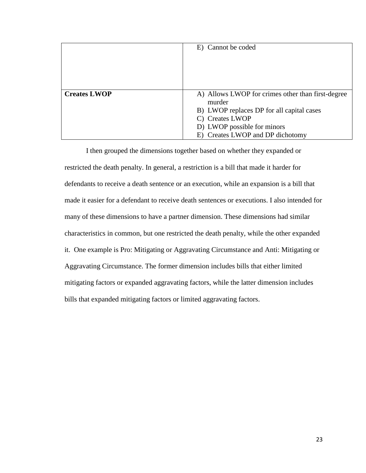|                     | E) Cannot be coded                                |
|---------------------|---------------------------------------------------|
|                     |                                                   |
| <b>Creates LWOP</b> | A) Allows LWOP for crimes other than first-degree |
|                     | murder                                            |
|                     | B) LWOP replaces DP for all capital cases         |
|                     | C) Creates LWOP                                   |
|                     | D) LWOP possible for minors                       |
|                     | E) Creates LWOP and DP dichotomy                  |

I then grouped the dimensions together based on whether they expanded or restricted the death penalty. In general, a restriction is a bill that made it harder for defendants to receive a death sentence or an execution, while an expansion is a bill that made it easier for a defendant to receive death sentences or executions. I also intended for many of these dimensions to have a partner dimension. These dimensions had similar characteristics in common, but one restricted the death penalty, while the other expanded it. One example is Pro: Mitigating or Aggravating Circumstance and Anti: Mitigating or Aggravating Circumstance. The former dimension includes bills that either limited mitigating factors or expanded aggravating factors, while the latter dimension includes bills that expanded mitigating factors or limited aggravating factors.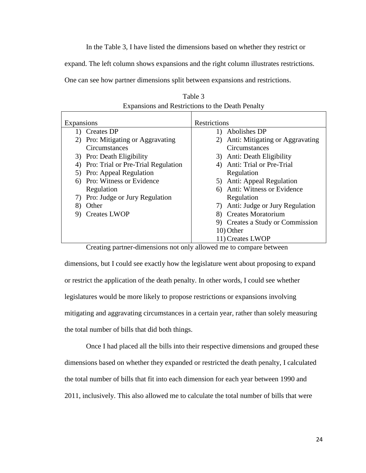In the Table 3, I have listed the dimensions based on whether they restrict or

expand. The left column shows expansions and the right column illustrates restrictions.

One can see how partner dimensions split between expansions and restrictions.

| Expansions                               | Restrictions                          |
|------------------------------------------|---------------------------------------|
| 1) Creates DP                            | Abolishes DP<br>$\mathbf{D}$          |
| 2) Pro: Mitigating or Aggravating        | Anti: Mitigating or Aggravating<br>2) |
| Circumstances                            | Circumstances                         |
| 3) Pro: Death Eligibility                | 3) Anti: Death Eligibility            |
| Pro: Trial or Pre-Trial Regulation<br>4) | Anti: Trial or Pre-Trial              |
| 5) Pro: Appeal Regulation                | Regulation                            |
| 6) Pro: Witness or Evidence              | 5) Anti: Appeal Regulation            |
| Regulation                               | Anti: Witness or Evidence<br>6)       |
| 7) Pro: Judge or Jury Regulation         | Regulation                            |
| Other<br>8)                              | Anti: Judge or Jury Regulation<br>7)  |
| 9) Creates LWOP                          | 8) Creates Moratorium                 |
|                                          | 9) Creates a Study or Commission      |
|                                          | 10) Other                             |
|                                          | 11) Creates LWOP                      |

Table 3 Expansions and Restrictions to the Death Penalty

Creating partner-dimensions not only allowed me to compare between

dimensions, but I could see exactly how the legislature went about proposing to expand or restrict the application of the death penalty. In other words, I could see whether legislatures would be more likely to propose restrictions or expansions involving mitigating and aggravating circumstances in a certain year, rather than solely measuring the total number of bills that did both things.

Once I had placed all the bills into their respective dimensions and grouped these dimensions based on whether they expanded or restricted the death penalty, I calculated the total number of bills that fit into each dimension for each year between 1990 and 2011, inclusively. This also allowed me to calculate the total number of bills that were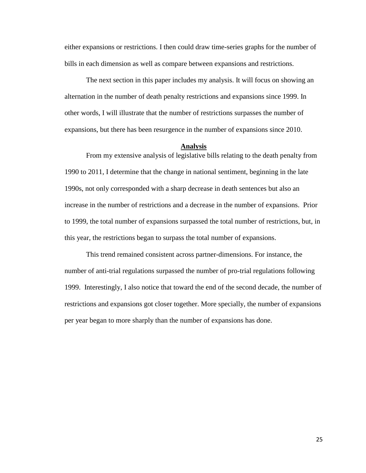either expansions or restrictions. I then could draw time-series graphs for the number of bills in each dimension as well as compare between expansions and restrictions.

The next section in this paper includes my analysis. It will focus on showing an alternation in the number of death penalty restrictions and expansions since 1999. In other words, I will illustrate that the number of restrictions surpasses the number of expansions, but there has been resurgence in the number of expansions since 2010.

#### **Analysis**

From my extensive analysis of legislative bills relating to the death penalty from 1990 to 2011, I determine that the change in national sentiment, beginning in the late 1990s, not only corresponded with a sharp decrease in death sentences but also an increase in the number of restrictions and a decrease in the number of expansions. Prior to 1999, the total number of expansions surpassed the total number of restrictions, but, in this year, the restrictions began to surpass the total number of expansions.

This trend remained consistent across partner-dimensions. For instance, the number of anti-trial regulations surpassed the number of pro-trial regulations following 1999. Interestingly, I also notice that toward the end of the second decade, the number of restrictions and expansions got closer together. More specially, the number of expansions per year began to more sharply than the number of expansions has done.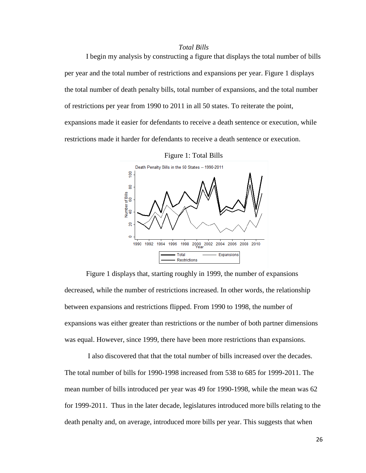### *Total Bills*

I begin my analysis by constructing a figure that displays the total number of bills per year and the total number of restrictions and expansions per year. Figure 1 displays the total number of death penalty bills, total number of expansions, and the total number of restrictions per year from 1990 to 2011 in all 50 states. To reiterate the point, expansions made it easier for defendants to receive a death sentence or execution, while restrictions made it harder for defendants to receive a death sentence or execution.





Figure 1 displays that, starting roughly in 1999, the number of expansions decreased, while the number of restrictions increased. In other words, the relationship between expansions and restrictions flipped. From 1990 to 1998, the number of expansions was either greater than restrictions or the number of both partner dimensions was equal. However, since 1999, there have been more restrictions than expansions.

I also discovered that that the total number of bills increased over the decades. The total number of bills for 1990-1998 increased from 538 to 685 for 1999-2011. The mean number of bills introduced per year was 49 for 1990-1998, while the mean was 62 for 1999-2011. Thus in the later decade, legislatures introduced more bills relating to the death penalty and, on average, introduced more bills per year. This suggests that when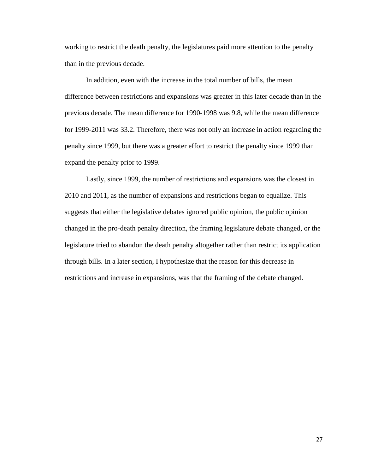working to restrict the death penalty, the legislatures paid more attention to the penalty than in the previous decade.

In addition, even with the increase in the total number of bills, the mean difference between restrictions and expansions was greater in this later decade than in the previous decade. The mean difference for 1990-1998 was 9.8, while the mean difference for 1999-2011 was 33.2. Therefore, there was not only an increase in action regarding the penalty since 1999, but there was a greater effort to restrict the penalty since 1999 than expand the penalty prior to 1999.

Lastly, since 1999, the number of restrictions and expansions was the closest in 2010 and 2011, as the number of expansions and restrictions began to equalize. This suggests that either the legislative debates ignored public opinion, the public opinion changed in the pro-death penalty direction, the framing legislature debate changed, or the legislature tried to abandon the death penalty altogether rather than restrict its application through bills. In a later section, I hypothesize that the reason for this decrease in restrictions and increase in expansions, was that the framing of the debate changed.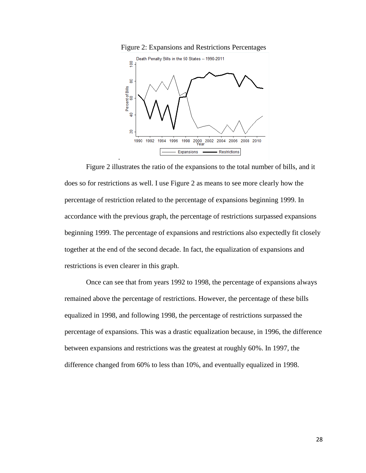



Figure 2 illustrates the ratio of the expansions to the total number of bills, and it does so for restrictions as well. I use Figure 2 as means to see more clearly how the percentage of restriction related to the percentage of expansions beginning 1999. In accordance with the previous graph, the percentage of restrictions surpassed expansions beginning 1999. The percentage of expansions and restrictions also expectedly fit closely together at the end of the second decade. In fact, the equalization of expansions and restrictions is even clearer in this graph.

.

Once can see that from years 1992 to 1998, the percentage of expansions always remained above the percentage of restrictions. However, the percentage of these bills equalized in 1998, and following 1998, the percentage of restrictions surpassed the percentage of expansions. This was a drastic equalization because, in 1996, the difference between expansions and restrictions was the greatest at roughly 60%. In 1997, the difference changed from 60% to less than 10%, and eventually equalized in 1998.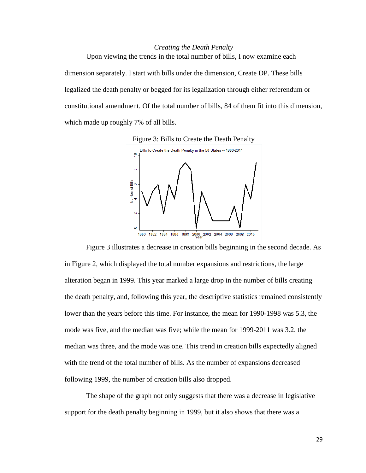### *Creating the Death Penalty*

Upon viewing the trends in the total number of bills, I now examine each dimension separately. I start with bills under the dimension, Create DP. These bills legalized the death penalty or begged for its legalization through either referendum or constitutional amendment. Of the total number of bills, 84 of them fit into this dimension, which made up roughly 7% of all bills.





Figure 3 illustrates a decrease in creation bills beginning in the second decade. As in Figure 2, which displayed the total number expansions and restrictions, the large alteration began in 1999. This year marked a large drop in the number of bills creating the death penalty, and, following this year, the descriptive statistics remained consistently lower than the years before this time. For instance, the mean for 1990-1998 was 5.3, the mode was five, and the median was five; while the mean for 1999-2011 was 3.2, the median was three, and the mode was one. This trend in creation bills expectedly aligned with the trend of the total number of bills. As the number of expansions decreased following 1999, the number of creation bills also dropped.

The shape of the graph not only suggests that there was a decrease in legislative support for the death penalty beginning in 1999, but it also shows that there was a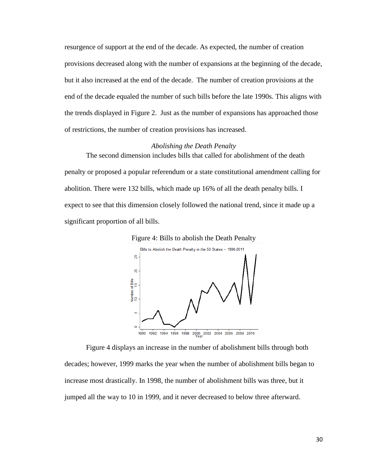resurgence of support at the end of the decade. As expected, the number of creation provisions decreased along with the number of expansions at the beginning of the decade, but it also increased at the end of the decade. The number of creation provisions at the end of the decade equaled the number of such bills before the late 1990s. This aligns with the trends displayed in Figure 2. Just as the number of expansions has approached those of restrictions, the number of creation provisions has increased.

#### *Abolishing the Death Penalty*

The second dimension includes bills that called for abolishment of the death penalty or proposed a popular referendum or a state constitutional amendment calling for abolition. There were 132 bills, which made up 16% of all the death penalty bills. I expect to see that this dimension closely followed the national trend, since it made up a significant proportion of all bills.



Figure 4 displays an increase in the number of abolishment bills through both decades; however, 1999 marks the year when the number of abolishment bills began to increase most drastically. In 1998, the number of abolishment bills was three, but it jumped all the way to 10 in 1999, and it never decreased to below three afterward.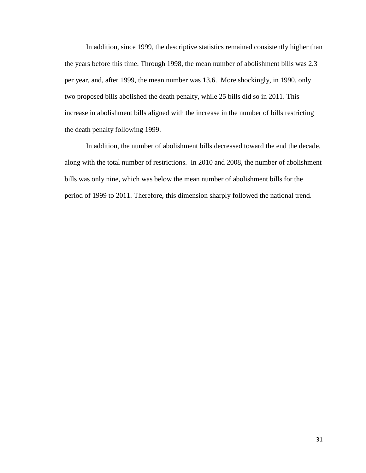In addition, since 1999, the descriptive statistics remained consistently higher than the years before this time. Through 1998, the mean number of abolishment bills was 2.3 per year, and, after 1999, the mean number was 13.6. More shockingly, in 1990, only two proposed bills abolished the death penalty, while 25 bills did so in 2011. This increase in abolishment bills aligned with the increase in the number of bills restricting the death penalty following 1999.

In addition, the number of abolishment bills decreased toward the end the decade, along with the total number of restrictions. In 2010 and 2008, the number of abolishment bills was only nine, which was below the mean number of abolishment bills for the period of 1999 to 2011. Therefore, this dimension sharply followed the national trend.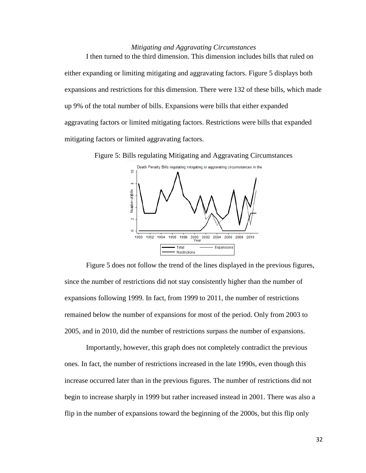### *Mitigating and Aggravating Circumstances*

I then turned to the third dimension. This dimension includes bills that ruled on either expanding or limiting mitigating and aggravating factors. Figure 5 displays both expansions and restrictions for this dimension. There were 132 of these bills, which made up 9% of the total number of bills. Expansions were bills that either expanded aggravating factors or limited mitigating factors. Restrictions were bills that expanded mitigating factors or limited aggravating factors.

Figure 5: Bills regulating Mitigating and Aggravating Circumstances



Figure 5 does not follow the trend of the lines displayed in the previous figures, since the number of restrictions did not stay consistently higher than the number of expansions following 1999. In fact, from 1999 to 2011, the number of restrictions remained below the number of expansions for most of the period. Only from 2003 to 2005, and in 2010, did the number of restrictions surpass the number of expansions.

Importantly, however, this graph does not completely contradict the previous ones. In fact, the number of restrictions increased in the late 1990s, even though this increase occurred later than in the previous figures. The number of restrictions did not begin to increase sharply in 1999 but rather increased instead in 2001. There was also a flip in the number of expansions toward the beginning of the 2000s, but this flip only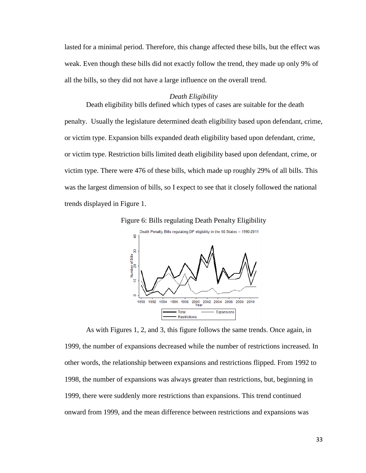lasted for a minimal period. Therefore, this change affected these bills, but the effect was weak. Even though these bills did not exactly follow the trend, they made up only 9% of all the bills, so they did not have a large influence on the overall trend.

#### *Death Eligibility*

Death eligibility bills defined which types of cases are suitable for the death penalty. Usually the legislature determined death eligibility based upon defendant, crime, or victim type. Expansion bills expanded death eligibility based upon defendant, crime, or victim type. Restriction bills limited death eligibility based upon defendant, crime, or victim type. There were 476 of these bills, which made up roughly 29% of all bills. This was the largest dimension of bills, so I expect to see that it closely followed the national trends displayed in Figure 1.





As with Figures 1, 2, and 3, this figure follows the same trends. Once again, in 1999, the number of expansions decreased while the number of restrictions increased. In other words, the relationship between expansions and restrictions flipped. From 1992 to 1998, the number of expansions was always greater than restrictions, but, beginning in 1999, there were suddenly more restrictions than expansions. This trend continued onward from 1999, and the mean difference between restrictions and expansions was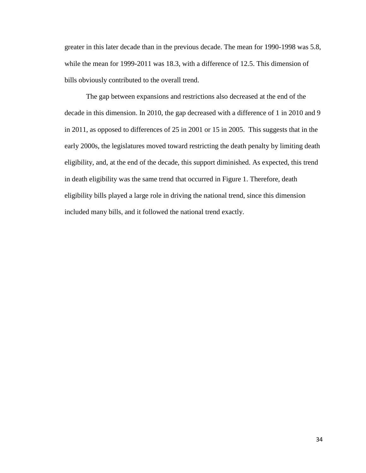greater in this later decade than in the previous decade. The mean for 1990-1998 was 5.8, while the mean for 1999-2011 was 18.3, with a difference of 12.5. This dimension of bills obviously contributed to the overall trend.

The gap between expansions and restrictions also decreased at the end of the decade in this dimension. In 2010, the gap decreased with a difference of 1 in 2010 and 9 in 2011, as opposed to differences of 25 in 2001 or 15 in 2005. This suggests that in the early 2000s, the legislatures moved toward restricting the death penalty by limiting death eligibility, and, at the end of the decade, this support diminished. As expected, this trend in death eligibility was the same trend that occurred in Figure 1. Therefore, death eligibility bills played a large role in driving the national trend, since this dimension included many bills, and it followed the national trend exactly.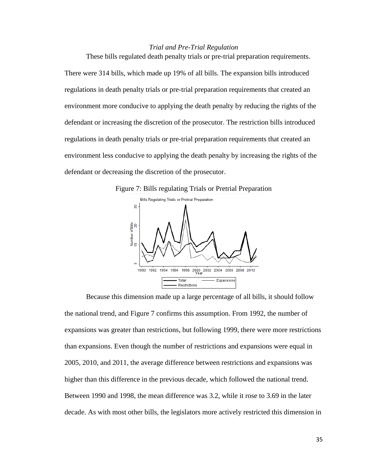#### *Trial and Pre-Trial Regulation*

These bills regulated death penalty trials or pre-trial preparation requirements. There were 314 bills, which made up 19% of all bills. The expansion bills introduced regulations in death penalty trials or pre-trial preparation requirements that created an environment more conducive to applying the death penalty by reducing the rights of the defendant or increasing the discretion of the prosecutor. The restriction bills introduced regulations in death penalty trials or pre-trial preparation requirements that created an environment less conducive to applying the death penalty by increasing the rights of the defendant or decreasing the discretion of the prosecutor.





Because this dimension made up a large percentage of all bills, it should follow the national trend, and Figure 7 confirms this assumption. From 1992, the number of expansions was greater than restrictions, but following 1999, there were more restrictions than expansions. Even though the number of restrictions and expansions were equal in 2005, 2010, and 2011, the average difference between restrictions and expansions was higher than this difference in the previous decade, which followed the national trend. Between 1990 and 1998, the mean difference was 3.2, while it rose to 3.69 in the later decade. As with most other bills, the legislators more actively restricted this dimension in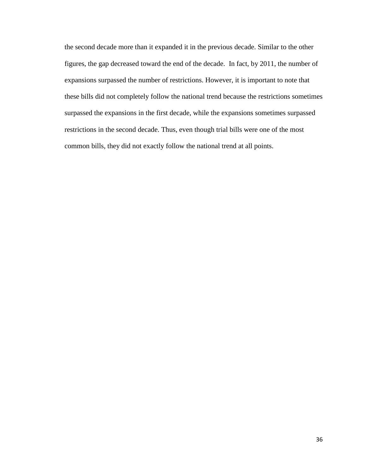the second decade more than it expanded it in the previous decade. Similar to the other figures, the gap decreased toward the end of the decade. In fact, by 2011, the number of expansions surpassed the number of restrictions. However, it is important to note that these bills did not completely follow the national trend because the restrictions sometimes surpassed the expansions in the first decade, while the expansions sometimes surpassed restrictions in the second decade. Thus, even though trial bills were one of the most common bills, they did not exactly follow the national trend at all points.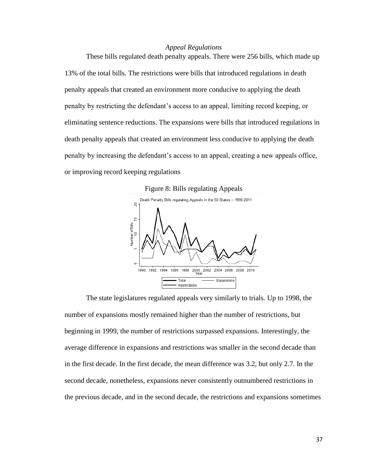### *Appeal Regulations*

These bills regulated death penalty appeals. There were 256 bills, which made up 13% of the total bills. The restrictions were bills that introduced regulations in death penalty appeals that created an environment more conducive to applying the death penalty by restricting the defendant's access to an appeal, limiting record keeping, or eliminating sentence reductions. The expansions were bills that introduced regulations in death penalty appeals that created an environment less conducive to applying the death penalty by increasing the defendant's access to an appeal, creating a new appeals office, or improving record keeping regulations

Figure 8: Bills regulating Appeals



The state legislatures regulated appeals very similarly to trials. Up to 1998, the number of expansions mostly remained higher than the number of restrictions, but beginning in 1999, the number of restrictions surpassed expansions. Interestingly, the average difference in expansions and restrictions was smaller in the second decade than in the first decade. In the first decade, the mean difference was 3.2, but only 2.7. In the second decade, nonetheless, expansions never consistently outnumbered restrictions in the previous decade, and in the second decade, the restrictions and expansions sometimes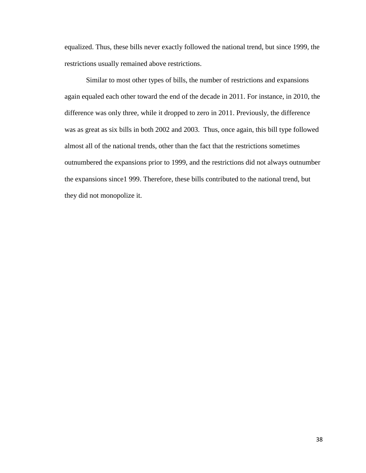equalized. Thus, these bills never exactly followed the national trend, but since 1999, the restrictions usually remained above restrictions.

Similar to most other types of bills, the number of restrictions and expansions again equaled each other toward the end of the decade in 2011. For instance, in 2010, the difference was only three, while it dropped to zero in 2011. Previously, the difference was as great as six bills in both 2002 and 2003. Thus, once again, this bill type followed almost all of the national trends, other than the fact that the restrictions sometimes outnumbered the expansions prior to 1999, and the restrictions did not always outnumber the expansions since1 999. Therefore, these bills contributed to the national trend, but they did not monopolize it.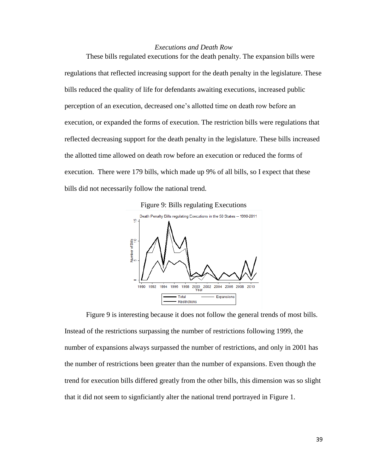### *Executions and Death Row*

These bills regulated executions for the death penalty. The expansion bills were regulations that reflected increasing support for the death penalty in the legislature. These bills reduced the quality of life for defendants awaiting executions, increased public perception of an execution, decreased one's allotted time on death row before an execution, or expanded the forms of execution. The restriction bills were regulations that reflected decreasing support for the death penalty in the legislature. These bills increased the allotted time allowed on death row before an execution or reduced the forms of execution. There were 179 bills, which made up 9% of all bills, so I expect that these bills did not necessarily follow the national trend.





Figure 9 is interesting because it does not follow the general trends of most bills. Instead of the restrictions surpassing the number of restrictions following 1999, the number of expansions always surpassed the number of restrictions, and only in 2001 has the number of restrictions been greater than the number of expansions. Even though the trend for execution bills differed greatly from the other bills, this dimension was so slight that it did not seem to signficiantly alter the national trend portrayed in Figure 1.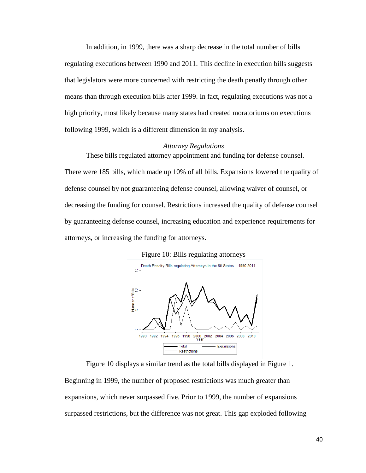In addition, in 1999, there was a sharp decrease in the total number of bills regulating executions between 1990 and 2011. This decline in execution bills suggests that legislators were more concerned with restricting the death penatly through other means than through execution bills after 1999. In fact, regulating executions was not a high priority, most likely because many states had created moratoriums on executions following 1999, which is a different dimension in my analysis.

#### *Attorney Regulations*

These bills regulated attorney appointment and funding for defense counsel. There were 185 bills, which made up 10% of all bills. Expansions lowered the quality of defense counsel by not guaranteeing defense counsel, allowing waiver of counsel, or decreasing the funding for counsel. Restrictions increased the quality of defense counsel by guaranteeing defense counsel, increasing education and experience requirements for attorneys, or increasing the funding for attorneys.



Figure 10: Bills regulating attorneys

Figure 10 displays a similar trend as the total bills displayed in Figure 1. Beginning in 1999, the number of proposed restrictions was much greater than expansions, which never surpassed five. Prior to 1999, the number of expansions surpassed restrictions, but the difference was not great. This gap exploded following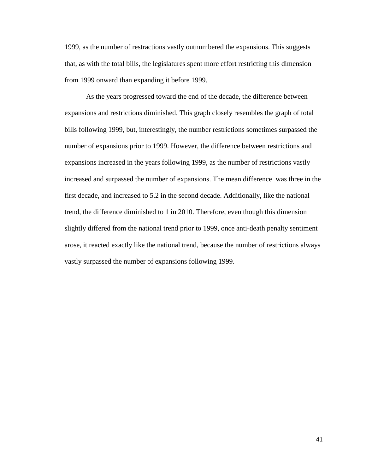1999, as the number of restractions vastly outnumbered the expansions. This suggests that, as with the total bills, the legislatures spent more effort restricting this dimension from 1999 onward than expanding it before 1999.

As the years progressed toward the end of the decade, the difference between expansions and restrictions diminished. This graph closely resembles the graph of total bills following 1999, but, interestingly, the number restrictions sometimes surpassed the number of expansions prior to 1999. However, the difference between restrictions and expansions increased in the years following 1999, as the number of restrictions vastly increased and surpassed the number of expansions. The mean difference was three in the first decade, and increased to 5.2 in the second decade. Additionally, like the national trend, the difference diminished to 1 in 2010. Therefore, even though this dimension slightly differed from the national trend prior to 1999, once anti-death penalty sentiment arose, it reacted exactly like the national trend, because the number of restrictions always vastly surpassed the number of expansions following 1999.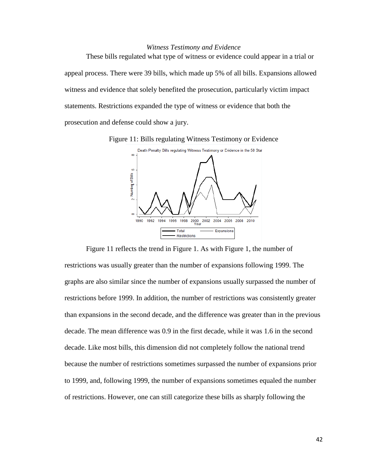### *Witness Testimony and Evidence*

These bills regulated what type of witness or evidence could appear in a trial or appeal process. There were 39 bills, which made up 5% of all bills. Expansions allowed witness and evidence that solely benefited the prosecution, particularly victim impact statements. Restrictions expanded the type of witness or evidence that both the prosecution and defense could show a jury.

Figure 11: Bills regulating Witness Testimony or Evidence



Figure 11 reflects the trend in Figure 1. As with Figure 1, the number of restrictions was usually greater than the number of expansions following 1999. The graphs are also similar since the number of expansions usually surpassed the number of restrictions before 1999. In addition, the number of restrictions was consistently greater than expansions in the second decade, and the difference was greater than in the previous decade. The mean difference was 0.9 in the first decade, while it was 1.6 in the second decade. Like most bills, this dimension did not completely follow the national trend because the number of restrictions sometimes surpassed the number of expansions prior to 1999, and, following 1999, the number of expansions sometimes equaled the number of restrictions. However, one can still categorize these bills as sharply following the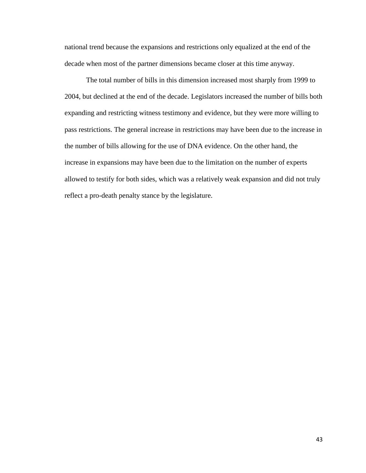national trend because the expansions and restrictions only equalized at the end of the decade when most of the partner dimensions became closer at this time anyway.

The total number of bills in this dimension increased most sharply from 1999 to 2004, but declined at the end of the decade. Legislators increased the number of bills both expanding and restricting witness testimony and evidence, but they were more willing to pass restrictions. The general increase in restrictions may have been due to the increase in the number of bills allowing for the use of DNA evidence. On the other hand, the increase in expansions may have been due to the limitation on the number of experts allowed to testify for both sides, which was a relatively weak expansion and did not truly reflect a pro-death penalty stance by the legislature.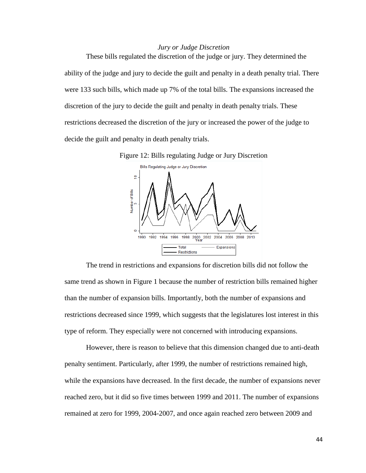## *Jury or Judge Discretion*

These bills regulated the discretion of the judge or jury. They determined the ability of the judge and jury to decide the guilt and penalty in a death penalty trial. There were 133 such bills, which made up 7% of the total bills. The expansions increased the discretion of the jury to decide the guilt and penalty in death penalty trials. These restrictions decreased the discretion of the jury or increased the power of the judge to decide the guilt and penalty in death penalty trials.



The trend in restrictions and expansions for discretion bills did not follow the same trend as shown in Figure 1 because the number of restriction bills remained higher than the number of expansion bills. Importantly, both the number of expansions and restrictions decreased since 1999, which suggests that the legislatures lost interest in this type of reform. They especially were not concerned with introducing expansions.

However, there is reason to believe that this dimension changed due to anti-death penalty sentiment. Particularly, after 1999, the number of restrictions remained high, while the expansions have decreased. In the first decade, the number of expansions never reached zero, but it did so five times between 1999 and 2011. The number of expansions remained at zero for 1999, 2004-2007, and once again reached zero between 2009 and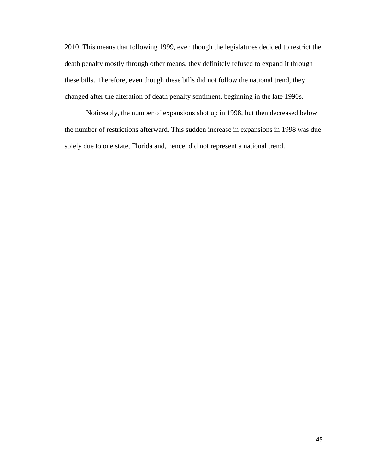2010. This means that following 1999, even though the legislatures decided to restrict the death penalty mostly through other means, they definitely refused to expand it through these bills. Therefore, even though these bills did not follow the national trend, they changed after the alteration of death penalty sentiment, beginning in the late 1990s.

Noticeably, the number of expansions shot up in 1998, but then decreased below the number of restrictions afterward. This sudden increase in expansions in 1998 was due solely due to one state, Florida and, hence, did not represent a national trend.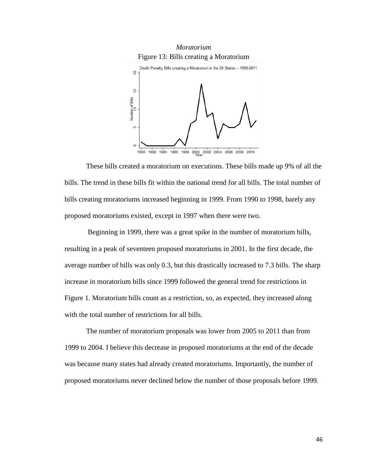

These bills created a moratorium on executions. These bills made up 9% of all the bills. The trend in these bills fit within the national trend for all bills. The total number of bills creating moratoriums increased beginning in 1999. From 1990 to 1998, barely any proposed moratoriums existed, except in 1997 when there were two.

Beginning in 1999, there was a great spike in the number of moratorium bills, resulting in a peak of seventeen proposed moratoriums in 2001. In the first decade, the average number of bills was only 0.3, but this drastically increased to 7.3 bills. The sharp increase in moratorium bills since 1999 followed the general trend for restrictions in Figure 1. Moratorium bills count as a restriction, so, as expected, they increased along with the total number of restrictions for all bills.

The number of moratorium proposals was lower from 2005 to 2011 than from 1999 to 2004. I believe this decrease in proposed moratoriums at the end of the decade was because many states had already created moratoriums. Importantly, the number of proposed moratoriums never declined below the number of those proposals before 1999.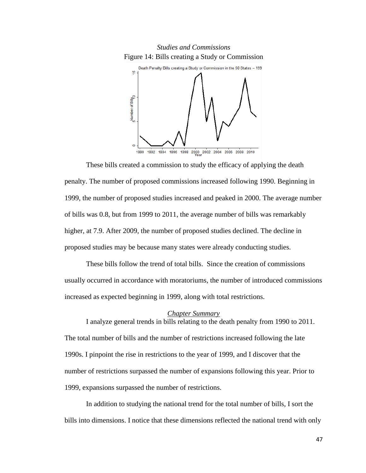



These bills created a commission to study the efficacy of applying the death penalty. The number of proposed commissions increased following 1990. Beginning in 1999, the number of proposed studies increased and peaked in 2000. The average number of bills was 0.8, but from 1999 to 2011, the average number of bills was remarkably higher, at 7.9. After 2009, the number of proposed studies declined. The decline in proposed studies may be because many states were already conducting studies.

These bills follow the trend of total bills. Since the creation of commissions usually occurred in accordance with moratoriums, the number of introduced commissions increased as expected beginning in 1999, along with total restrictions.

### *Chapter Summary*

I analyze general trends in bills relating to the death penalty from 1990 to 2011. The total number of bills and the number of restrictions increased following the late 1990s. I pinpoint the rise in restrictions to the year of 1999, and I discover that the number of restrictions surpassed the number of expansions following this year. Prior to 1999, expansions surpassed the number of restrictions.

In addition to studying the national trend for the total number of bills, I sort the bills into dimensions. I notice that these dimensions reflected the national trend with only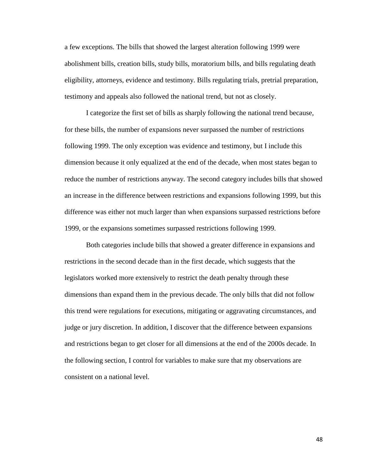a few exceptions. The bills that showed the largest alteration following 1999 were abolishment bills, creation bills, study bills, moratorium bills, and bills regulating death eligibility, attorneys, evidence and testimony. Bills regulating trials, pretrial preparation, testimony and appeals also followed the national trend, but not as closely.

I categorize the first set of bills as sharply following the national trend because, for these bills, the number of expansions never surpassed the number of restrictions following 1999. The only exception was evidence and testimony, but I include this dimension because it only equalized at the end of the decade, when most states began to reduce the number of restrictions anyway. The second category includes bills that showed an increase in the difference between restrictions and expansions following 1999, but this difference was either not much larger than when expansions surpassed restrictions before 1999, or the expansions sometimes surpassed restrictions following 1999.

Both categories include bills that showed a greater difference in expansions and restrictions in the second decade than in the first decade, which suggests that the legislators worked more extensively to restrict the death penalty through these dimensions than expand them in the previous decade. The only bills that did not follow this trend were regulations for executions, mitigating or aggravating circumstances, and judge or jury discretion. In addition, I discover that the difference between expansions and restrictions began to get closer for all dimensions at the end of the 2000s decade. In the following section, I control for variables to make sure that my observations are consistent on a national level.

48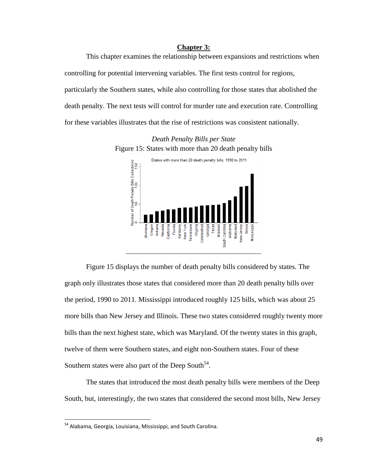### **Chapter 3:**

This chapter examines the relationship between expansions and restrictions when controlling for potential intervening variables. The first tests control for regions, particularly the Southern states, while also controlling for those states that abolished the death penalty. The next tests will control for murder rate and execution rate. Controlling for these variables illustrates that the rise of restrictions was consistent nationally.

*Death Penalty Bills per State* Figure 15: States with more than 20 death penalty bills



Figure 15 displays the number of death penalty bills considered by states. The graph only illustrates those states that considered more than 20 death penalty bills over the period, 1990 to 2011. Mississippi introduced roughly 125 bills, which was about 25 more bills than New Jersey and Illinois. These two states considered roughly twenty more bills than the next highest state, which was Maryland. Of the twenty states in this graph, twelve of them were Southern states, and eight non-Southern states. Four of these Southern states were also part of the Deep South<sup>54</sup>.

The states that introduced the most death penalty bills were members of the Deep South, but, interestingly, the two states that considered the second most bills, New Jersey

<sup>&</sup>lt;sup>54</sup> Alabama, Georgia, Louisiana, Mississippi, and South Carolina.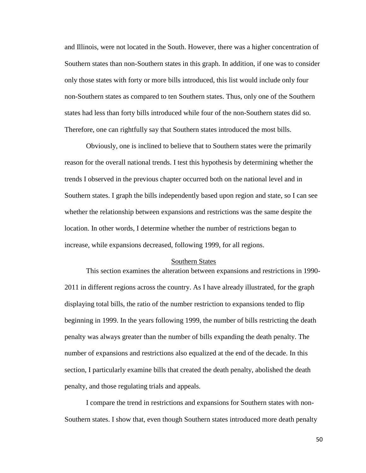and Illinois, were not located in the South. However, there was a higher concentration of Southern states than non-Southern states in this graph. In addition, if one was to consider only those states with forty or more bills introduced, this list would include only four non-Southern states as compared to ten Southern states. Thus, only one of the Southern states had less than forty bills introduced while four of the non-Southern states did so. Therefore, one can rightfully say that Southern states introduced the most bills.

Obviously, one is inclined to believe that to Southern states were the primarily reason for the overall national trends. I test this hypothesis by determining whether the trends I observed in the previous chapter occurred both on the national level and in Southern states. I graph the bills independently based upon region and state, so I can see whether the relationship between expansions and restrictions was the same despite the location. In other words, I determine whether the number of restrictions began to increase, while expansions decreased, following 1999, for all regions.

#### Southern States

This section examines the alteration between expansions and restrictions in 1990- 2011 in different regions across the country. As I have already illustrated, for the graph displaying total bills, the ratio of the number restriction to expansions tended to flip beginning in 1999. In the years following 1999, the number of bills restricting the death penalty was always greater than the number of bills expanding the death penalty. The number of expansions and restrictions also equalized at the end of the decade. In this section, I particularly examine bills that created the death penalty, abolished the death penalty, and those regulating trials and appeals.

I compare the trend in restrictions and expansions for Southern states with non-Southern states. I show that, even though Southern states introduced more death penalty

50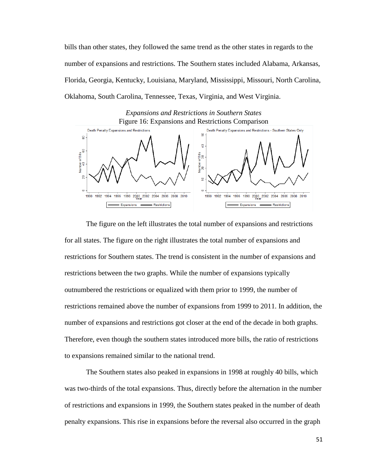bills than other states, they followed the same trend as the other states in regards to the number of expansions and restrictions. The Southern states included Alabama, Arkansas, Florida, Georgia, Kentucky, Louisiana, Maryland, Mississippi, Missouri, North Carolina, Oklahoma, South Carolina, Tennessee, Texas, Virginia, and West Virginia.

*Expansions and Restrictions in Southern States* Figure 16: Expansions and Restrictions Comparison



The figure on the left illustrates the total number of expansions and restrictions for all states. The figure on the right illustrates the total number of expansions and restrictions for Southern states. The trend is consistent in the number of expansions and restrictions between the two graphs. While the number of expansions typically outnumbered the restrictions or equalized with them prior to 1999, the number of restrictions remained above the number of expansions from 1999 to 2011. In addition, the number of expansions and restrictions got closer at the end of the decade in both graphs. Therefore, even though the southern states introduced more bills, the ratio of restrictions to expansions remained similar to the national trend.

The Southern states also peaked in expansions in 1998 at roughly 40 bills, which was two-thirds of the total expansions. Thus, directly before the alternation in the number of restrictions and expansions in 1999, the Southern states peaked in the number of death penalty expansions. This rise in expansions before the reversal also occurred in the graph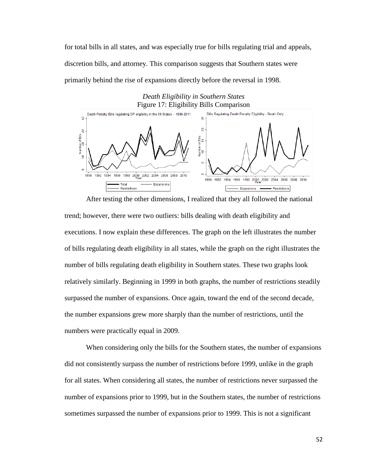for total bills in all states, and was especially true for bills regulating trial and appeals, discretion bills, and attorney. This comparison suggests that Southern states were primarily behind the rise of expansions directly before the reversal in 1998.

## *Death Eligibility in Southern States* Figure 17: Eligibility Bills Comparison



After testing the other dimensions, I realized that they all followed the national trend; however, there were two outliers: bills dealing with death eligibility and executions. I now explain these differences. The graph on the left illustrates the number of bills regulating death eligibility in all states, while the graph on the right illustrates the number of bills regulating death eligibility in Southern states. These two graphs look relatively similarly. Beginning in 1999 in both graphs, the number of restrictions steadily surpassed the number of expansions. Once again, toward the end of the second decade, the number expansions grew more sharply than the number of restrictions, until the numbers were practically equal in 2009.

When considering only the bills for the Southern states, the number of expansions did not consistently surpass the number of restrictions before 1999, unlike in the graph for all states. When considering all states, the number of restrictions never surpassed the number of expansions prior to 1999, but in the Southern states, the number of restrictions sometimes surpassed the number of expansions prior to 1999. This is not a significant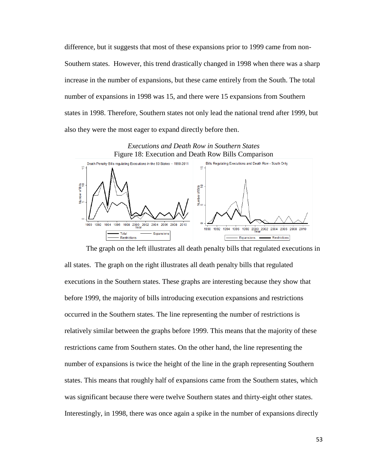difference, but it suggests that most of these expansions prior to 1999 came from non-Southern states. However, this trend drastically changed in 1998 when there was a sharp increase in the number of expansions, but these came entirely from the South. The total number of expansions in 1998 was 15, and there were 15 expansions from Southern states in 1998. Therefore, Southern states not only lead the national trend after 1999, but also they were the most eager to expand directly before then.



The graph on the left illustrates all death penalty bills that regulated executions in all states. The graph on the right illustrates all death penalty bills that regulated executions in the Southern states. These graphs are interesting because they show that before 1999, the majority of bills introducing execution expansions and restrictions occurred in the Southern states. The line representing the number of restrictions is relatively similar between the graphs before 1999. This means that the majority of these restrictions came from Southern states. On the other hand, the line representing the number of expansions is twice the height of the line in the graph representing Southern states. This means that roughly half of expansions came from the Southern states, which was significant because there were twelve Southern states and thirty-eight other states. Interestingly, in 1998, there was once again a spike in the number of expansions directly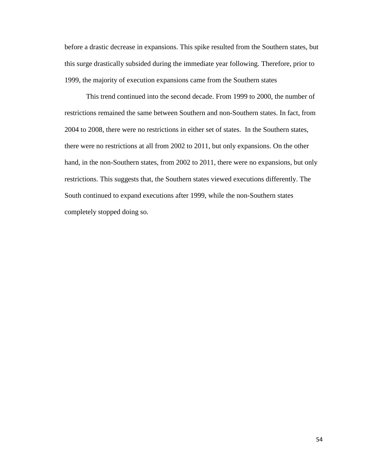before a drastic decrease in expansions. This spike resulted from the Southern states, but this surge drastically subsided during the immediate year following. Therefore, prior to 1999, the majority of execution expansions came from the Southern states

This trend continued into the second decade. From 1999 to 2000, the number of restrictions remained the same between Southern and non-Southern states. In fact, from 2004 to 2008, there were no restrictions in either set of states. In the Southern states, there were no restrictions at all from 2002 to 2011, but only expansions. On the other hand, in the non-Southern states, from 2002 to 2011, there were no expansions, but only restrictions. This suggests that, the Southern states viewed executions differently. The South continued to expand executions after 1999, while the non-Southern states completely stopped doing so.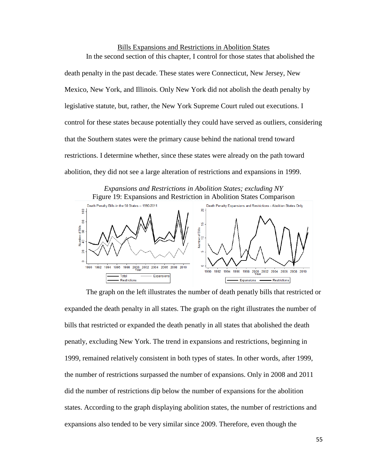Bills Expansions and Restrictions in Abolition States In the second section of this chapter, I control for those states that abolished the death penalty in the past decade. These states were Connecticut, New Jersey, New Mexico, New York, and Illinois. Only New York did not abolish the death penalty by legislative statute, but, rather, the New York Supreme Court ruled out executions. I control for these states because potentially they could have served as outliers, considering that the Southern states were the primary cause behind the national trend toward

restrictions. I determine whether, since these states were already on the path toward abolition, they did not see a large alteration of restrictions and expansions in 1999.

*Expansions and Restrictions in Abolition States; excluding NY*



The graph on the left illustrates the number of death penatly bills that restricted or expanded the death penalty in all states. The graph on the right illustrates the number of bills that restricted or expanded the death penatly in all states that abolished the death penatly, excluding New York. The trend in expansions and restrictions, beginning in 1999, remained relatively consistent in both types of states. In other words, after 1999, the number of restrictions surpassed the number of expansions. Only in 2008 and 2011 did the number of restrictions dip below the number of expansions for the abolition states. According to the graph displaying abolition states, the number of restrictions and expansions also tended to be very similar since 2009. Therefore, even though the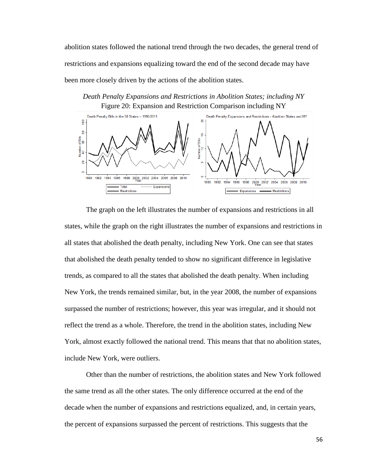abolition states followed the national trend through the two decades, the general trend of restrictions and expansions equalizing toward the end of the second decade may have been more closely driven by the actions of the abolition states.

*Death Penalty Expansions and Restrictions in Abolition States; including NY* Figure 20: Expansion and Restriction Comparison including NY



The graph on the left illustrates the number of expansions and restrictions in all states, while the graph on the right illustrates the number of expansions and restrictions in all states that abolished the death penalty, including New York. One can see that states that abolished the death penalty tended to show no significant difference in legislative trends, as compared to all the states that abolished the death penalty. When including New York, the trends remained similar, but, in the year 2008, the number of expansions surpassed the number of restrictions; however, this year was irregular, and it should not reflect the trend as a whole. Therefore, the trend in the abolition states, including New York, almost exactly followed the national trend. This means that that no abolition states, include New York, were outliers.

Other than the number of restrictions, the abolition states and New York followed the same trend as all the other states. The only difference occurred at the end of the decade when the number of expansions and restrictions equalized, and, in certain years, the percent of expansions surpassed the percent of restrictions. This suggests that the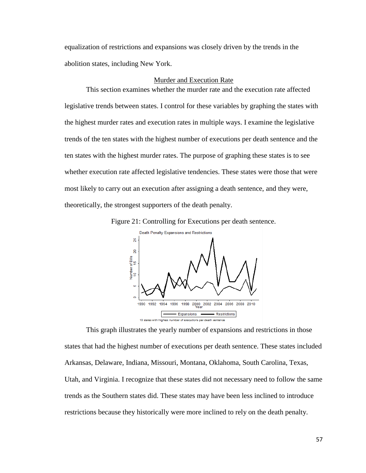equalization of restrictions and expansions was closely driven by the trends in the abolition states, including New York.

### Murder and Execution Rate

This section examines whether the murder rate and the execution rate affected legislative trends between states. I control for these variables by graphing the states with the highest murder rates and execution rates in multiple ways. I examine the legislative trends of the ten states with the highest number of executions per death sentence and the ten states with the highest murder rates. The purpose of graphing these states is to see whether execution rate affected legislative tendencies. These states were those that were most likely to carry out an execution after assigning a death sentence, and they were, theoretically, the strongest supporters of the death penalty.





This graph illustrates the yearly number of expansions and restrictions in those states that had the highest number of executions per death sentence. These states included Arkansas, Delaware, Indiana, Missouri, Montana, Oklahoma, South Carolina, Texas, Utah, and Virginia. I recognize that these states did not necessary need to follow the same trends as the Southern states did. These states may have been less inclined to introduce restrictions because they historically were more inclined to rely on the death penalty.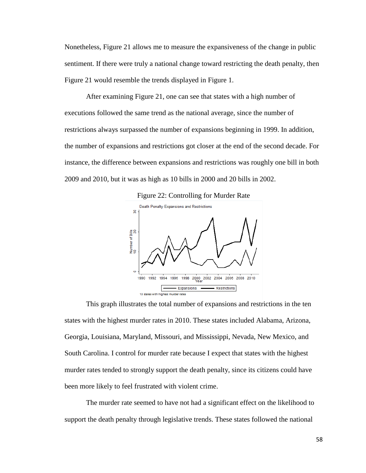Nonetheless, Figure 21 allows me to measure the expansiveness of the change in public sentiment. If there were truly a national change toward restricting the death penalty, then Figure 21 would resemble the trends displayed in Figure 1.

After examining Figure 21, one can see that states with a high number of executions followed the same trend as the national average, since the number of restrictions always surpassed the number of expansions beginning in 1999. In addition, the number of expansions and restrictions got closer at the end of the second decade. For instance, the difference between expansions and restrictions was roughly one bill in both 2009 and 2010, but it was as high as 10 bills in 2000 and 20 bills in 2002.



This graph illustrates the total number of expansions and restrictions in the ten states with the highest murder rates in 2010. These states included Alabama, Arizona, Georgia, Louisiana, Maryland, Missouri, and Mississippi, Nevada, New Mexico, and South Carolina. I control for murder rate because I expect that states with the highest murder rates tended to strongly support the death penalty, since its citizens could have been more likely to feel frustrated with violent crime.

The murder rate seemed to have not had a significant effect on the likelihood to support the death penalty through legislative trends. These states followed the national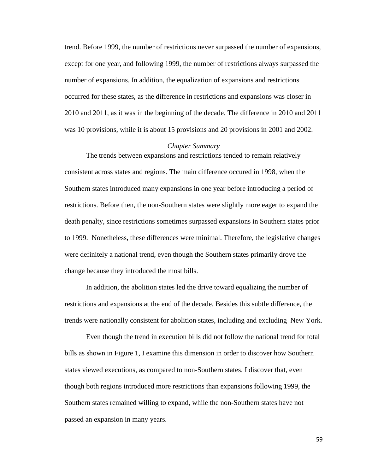trend. Before 1999, the number of restrictions never surpassed the number of expansions, except for one year, and following 1999, the number of restrictions always surpassed the number of expansions. In addition, the equalization of expansions and restrictions occurred for these states, as the difference in restrictions and expansions was closer in 2010 and 2011, as it was in the beginning of the decade. The difference in 2010 and 2011 was 10 provisions, while it is about 15 provisions and 20 provisions in 2001 and 2002.

#### *Chapter Summary*

The trends between expansions and restrictions tended to remain relatively consistent across states and regions. The main difference occured in 1998, when the Southern states introduced many expansions in one year before introducing a period of restrictions. Before then, the non-Southern states were slightly more eager to expand the death penalty, since restrictions sometimes surpassed expansions in Southern states prior to 1999. Nonetheless, these differences were minimal. Therefore, the legislative changes were definitely a national trend, even though the Southern states primarily drove the change because they introduced the most bills.

In addition, the abolition states led the drive toward equalizing the number of restrictions and expansions at the end of the decade. Besides this subtle difference, the trends were nationally consistent for abolition states, including and excluding New York.

Even though the trend in execution bills did not follow the national trend for total bills as shown in Figure 1, I examine this dimension in order to discover how Southern states viewed executions, as compared to non-Southern states. I discover that, even though both regions introduced more restrictions than expansions following 1999, the Southern states remained willing to expand, while the non-Southern states have not passed an expansion in many years.

59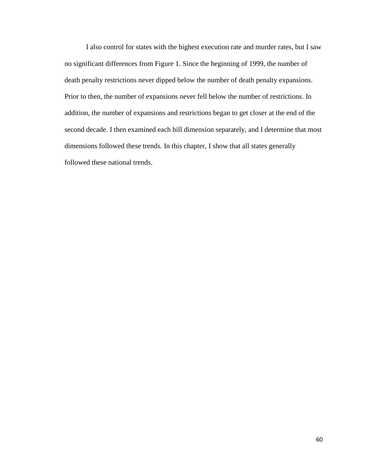I also control for states with the highest execution rate and murder rates, but I saw no significant differences from Figure 1. Since the beginning of 1999, the number of death penalty restrictions never dipped below the number of death penalty expansions. Prior to then, the number of expansions never fell below the number of restrictions. In addition, the number of expansions and restrictions began to get closer at the end of the second decade. I then examined each bill dimension separately, and I determine that most dimensions followed these trends. In this chapter, I show that all states generally followed these national trends.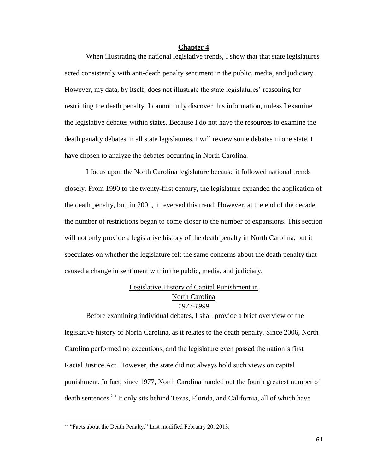#### **Chapter 4**

When illustrating the national legislative trends, I show that that state legislatures acted consistently with anti-death penalty sentiment in the public, media, and judiciary. However, my data, by itself, does not illustrate the state legislatures' reasoning for restricting the death penalty. I cannot fully discover this information, unless I examine the legislative debates within states. Because I do not have the resources to examine the death penalty debates in all state legislatures, I will review some debates in one state. I have chosen to analyze the debates occurring in North Carolina.

I focus upon the North Carolina legislature because it followed national trends closely. From 1990 to the twenty-first century, the legislature expanded the application of the death penalty, but, in 2001, it reversed this trend. However, at the end of the decade, the number of restrictions began to come closer to the number of expansions. This section will not only provide a legislative history of the death penalty in North Carolina, but it speculates on whether the legislature felt the same concerns about the death penalty that caused a change in sentiment within the public, media, and judiciary.

# Legislative History of Capital Punishment in North Carolina *1977-1999*

Before examining individual debates, I shall provide a brief overview of the legislative history of North Carolina, as it relates to the death penalty. Since 2006, North Carolina performed no executions, and the legislature even passed the nation's first Racial Justice Act. However, the state did not always hold such views on capital punishment. In fact, since 1977, North Carolina handed out the fourth greatest number of death sentences.<sup>55</sup> It only sits behind Texas, Florida, and California, all of which have

<sup>&</sup>lt;sup>55</sup> "Facts about the Death Penalty." Last modified February 20, 2013,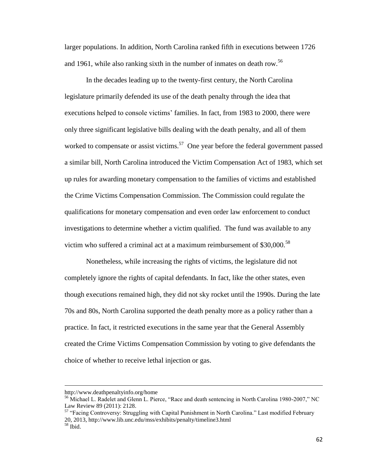larger populations. In addition, North Carolina ranked fifth in executions between 1726 and 1961, while also ranking sixth in the number of inmates on death row.<sup>56</sup>

In the decades leading up to the twenty-first century, the North Carolina legislature primarily defended its use of the death penalty through the idea that executions helped to console victims' families. In fact, from 1983 to 2000, there were only three significant legislative bills dealing with the death penalty, and all of them worked to compensate or assist victims.<sup>57</sup> One year before the federal government passed a similar bill, North Carolina introduced the Victim Compensation Act of 1983, which set up rules for awarding monetary compensation to the families of victims and established the Crime Victims Compensation Commission. The Commission could regulate the qualifications for monetary compensation and even order law enforcement to conduct investigations to determine whether a victim qualified. The fund was available to any victim who suffered a criminal act at a maximum reimbursement of  $$30,000$ .<sup>58</sup>

Nonetheless, while increasing the rights of victims, the legislature did not completely ignore the rights of capital defendants. In fact, like the other states, even though executions remained high, they did not sky rocket until the 1990s. During the late 70s and 80s, North Carolina supported the death penalty more as a policy rather than a practice. In fact, it restricted executions in the same year that the General Assembly created the Crime Victims Compensation Commission by voting to give defendants the choice of whether to receive lethal injection or gas.

l

http://www.deathpenaltyinfo.org/home

<sup>&</sup>lt;sup>56</sup> Michael L. Radelet and Glenn L. Pierce, "Race and death sentencing in North Carolina 1980-2007," NC Law Review 89 (2011): 2128.

<sup>&</sup>lt;sup>57</sup> "Facing Controversy: Struggling with Capital Punishment in North Carolina." Last modified February 20, 2013, http://www.lib.unc.edu/mss/exhibits/penalty/timeline3.html <sup>58</sup> Ibid.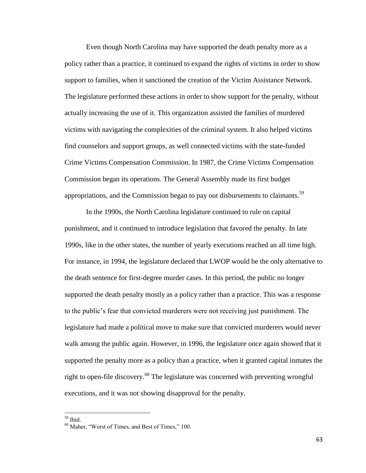Even though North Carolina may have supported the death penalty more as a policy rather than a practice, it continued to expand the rights of victims in order to show support to families, when it sanctioned the creation of the Victim Assistance Network. The legislature performed these actions in order to show support for the penalty, without actually increasing the use of it. This organization assisted the families of murdered victims with navigating the complexities of the criminal system. It also helped victims find counselors and support groups, as well connected victims with the state-funded Crime Victims Compensation Commission. In 1987, the Crime Victims Compensation Commission began its operations. The General Assembly made its first budget appropriations, and the Commission began to pay out disbursements to claimants.<sup>59</sup>

In the 1990s, the North Carolina legislature continued to rule on capital punishment, and it continued to introduce legislation that favored the penalty. In late 1990s, like in the other states, the number of yearly executions reached an all time high. For instance, in 1994, the legislature declared that LWOP would be the only alternative to the death sentence for first-degree murder cases. In this period, the public no longer supported the death penalty mostly as a policy rather than a practice. This was a response to the public's fear that convicted murderers were not receiving just punishment. The legislature had made a political move to make sure that convicted murderers would never walk among the public again. However, in 1996, the legislature once again showed that it supported the penalty more as a policy than a practice, when it granted capital inmates the right to open-file discovery.<sup>60</sup> The legislature was concerned with preventing wrongful executions, and it was not showing disapproval for the penalty.

<sup>59</sup> Ibid.

<sup>60</sup> Maher, "Worst of Times, and Best of Times," 100.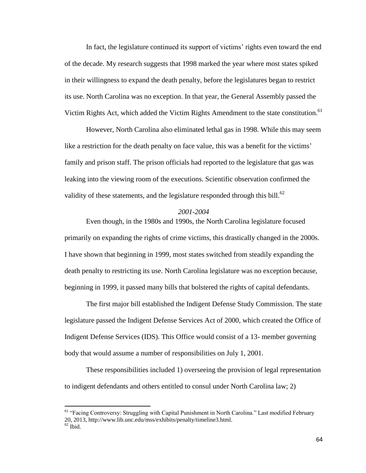In fact, the legislature continued its support of victims' rights even toward the end of the decade. My research suggests that 1998 marked the year where most states spiked in their willingness to expand the death penalty, before the legislatures began to restrict its use. North Carolina was no exception. In that year, the General Assembly passed the Victim Rights Act, which added the Victim Rights Amendment to the state constitution.<sup>61</sup>

However, North Carolina also eliminated lethal gas in 1998. While this may seem like a restriction for the death penalty on face value, this was a benefit for the victims' family and prison staff. The prison officials had reported to the legislature that gas was leaking into the viewing room of the executions. Scientific observation confirmed the validity of these statements, and the legislature responded through this bill.<sup>62</sup>

### *2001-2004*

Even though, in the 1980s and 1990s, the North Carolina legislature focused primarily on expanding the rights of crime victims, this drastically changed in the 2000s. I have shown that beginning in 1999, most states switched from steadily expanding the death penalty to restricting its use. North Carolina legislature was no exception because, beginning in 1999, it passed many bills that bolstered the rights of capital defendants.

The first major bill established the Indigent Defense Study Commission. The state legislature passed the Indigent Defense Services Act of 2000, which created the Office of Indigent Defense Services (IDS). This Office would consist of a 13- member governing body that would assume a number of responsibilities on July 1, 2001.

These responsibilities included 1) overseeing the provision of legal representation to indigent defendants and others entitled to consul under North Carolina law; 2)

<sup>&</sup>lt;sup>61</sup> "Facing Controversy: Struggling with Capital Punishment in North Carolina." Last modified February 20, 2013, http://www.lib.unc.edu/mss/exhibits/penalty/timeline3.html.  $62$  Ibid.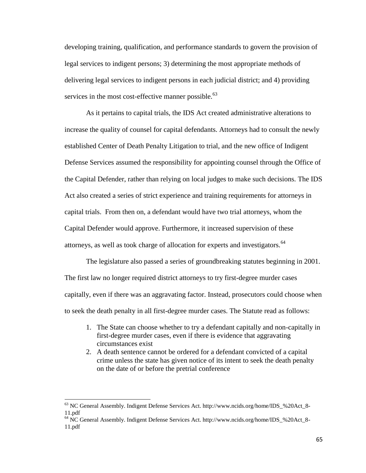developing training, qualification, and performance standards to govern the provision of legal services to indigent persons; 3) determining the most appropriate methods of delivering legal services to indigent persons in each judicial district; and 4) providing services in the most cost-effective manner possible.<sup>63</sup>

As it pertains to capital trials, the IDS Act created administrative alterations to increase the quality of counsel for capital defendants. Attorneys had to consult the newly established Center of Death Penalty Litigation to trial, and the new office of Indigent Defense Services assumed the responsibility for appointing counsel through the Office of the Capital Defender, rather than relying on local judges to make such decisions. The IDS Act also created a series of strict experience and training requirements for attorneys in capital trials. From then on, a defendant would have two trial attorneys, whom the Capital Defender would approve. Furthermore, it increased supervision of these attorneys, as well as took charge of allocation for experts and investigators.<sup>64</sup>

The legislature also passed a series of groundbreaking statutes beginning in 2001. The first law no longer required district attorneys to try first-degree murder cases capitally, even if there was an aggravating factor. Instead, prosecutors could choose when to seek the death penalty in all first-degree murder cases. The Statute read as follows:

- 1. The State can choose whether to try a defendant capitally and non-capitally in first-degree murder cases, even if there is evidence that aggravating circumstances exist
- 2. A death sentence cannot be ordered for a defendant convicted of a capital crime unless the state has given notice of its intent to seek the death penalty on the date of or before the pretrial conference

<sup>63</sup> NC General Assembly. Indigent Defense Services Act. http://www.ncids.org/home/IDS\_%20Act\_8- 11.pdf

<sup>&</sup>lt;sup>64</sup> NC General Assembly. Indigent Defense Services Act. http://www.ncids.org/home/IDS\_%20Act\_8-11.pdf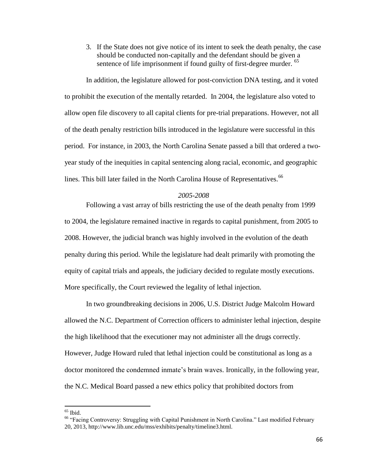3. If the State does not give notice of its intent to seek the death penalty, the case should be conducted non-capitally and the defendant should be given a sentence of life imprisonment if found guilty of first-degree murder. <sup>65</sup>

In addition, the legislature allowed for post-conviction DNA testing, and it voted to prohibit the execution of the mentally retarded. In 2004, the legislature also voted to allow open file discovery to all capital clients for pre-trial preparations. However, not all of the death penalty restriction bills introduced in the legislature were successful in this period. For instance, in 2003, the North Carolina Senate passed a bill that ordered a twoyear study of the inequities in capital sentencing along racial, economic, and geographic lines. This bill later failed in the North Carolina House of Representatives.<sup>66</sup>

#### *2005-2008*

Following a vast array of bills restricting the use of the death penalty from 1999 to 2004, the legislature remained inactive in regards to capital punishment, from 2005 to 2008. However, the judicial branch was highly involved in the evolution of the death penalty during this period. While the legislature had dealt primarily with promoting the equity of capital trials and appeals, the judiciary decided to regulate mostly executions. More specifically, the Court reviewed the legality of lethal injection.

In two groundbreaking decisions in 2006, U.S. District Judge Malcolm Howard allowed the N.C. Department of Correction officers to administer lethal injection, despite the high likelihood that the executioner may not administer all the drugs correctly. However, Judge Howard ruled that lethal injection could be constitutional as long as a doctor monitored the condemned inmate's brain waves. Ironically, in the following year, the N.C. Medical Board passed a new ethics policy that prohibited doctors from

 $65$  Ibid.

<sup>&</sup>lt;sup>66</sup> "Facing Controversy: Struggling with Capital Punishment in North Carolina." Last modified February 20, 2013, http://www.lib.unc.edu/mss/exhibits/penalty/timeline3.html.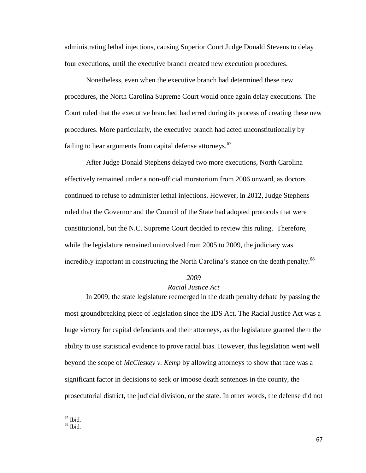administrating lethal injections, causing Superior Court Judge Donald Stevens to delay four executions, until the executive branch created new execution procedures.

Nonetheless, even when the executive branch had determined these new procedures, the North Carolina Supreme Court would once again delay executions. The Court ruled that the executive branched had erred during its process of creating these new procedures. More particularly, the executive branch had acted unconstitutionally by failing to hear arguments from capital defense attorneys. $67$ 

After Judge Donald Stephens delayed two more executions, North Carolina effectively remained under a non-official moratorium from 2006 onward, as doctors continued to refuse to administer lethal injections. However, in 2012, Judge Stephens ruled that the Governor and the Council of the State had adopted protocols that were constitutional, but the N.C. Supreme Court decided to review this ruling. Therefore, while the legislature remained uninvolved from 2005 to 2009, the judiciary was incredibly important in constructing the North Carolina's stance on the death penalty.<sup>68</sup>

#### *2009*

# *Racial Justice Act*

In 2009, the state legislature reemerged in the death penalty debate by passing the most groundbreaking piece of legislation since the IDS Act. The Racial Justice Act was a huge victory for capital defendants and their attorneys, as the legislature granted them the ability to use statistical evidence to prove racial bias. However, this legislation went well beyond the scope of *McCleskey v. Kemp* by allowing attorneys to show that race was a significant factor in decisions to seek or impose death sentences in the county, the prosecutorial district, the judicial division, or the state. In other words, the defense did not

 $67$  Ibid.

 $68$  Ibid.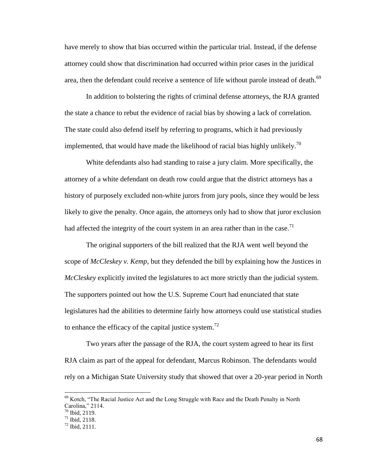have merely to show that bias occurred within the particular trial. Instead, if the defense attorney could show that discrimination had occurred within prior cases in the juridical area, then the defendant could receive a sentence of life without parole instead of death.<sup>69</sup>

In addition to bolstering the rights of criminal defense attorneys, the RJA granted the state a chance to rebut the evidence of racial bias by showing a lack of correlation. The state could also defend itself by referring to programs, which it had previously implemented, that would have made the likelihood of racial bias highly unlikely.<sup>70</sup>

White defendants also had standing to raise a jury claim. More specifically, the attorney of a white defendant on death row could argue that the district attorneys has a history of purposely excluded non-white jurors from jury pools, since they would be less likely to give the penalty. Once again, the attorneys only had to show that juror exclusion had affected the integrity of the court system in an area rather than in the case.<sup>71</sup>

The original supporters of the bill realized that the RJA went well beyond the scope of *McCleskey v. Kemp*, but they defended the bill by explaining how the Justices in *McCleskey* explicitly invited the legislatures to act more strictly than the judicial system. The supporters pointed out how the U.S. Supreme Court had enunciated that state legislatures had the abilities to determine fairly how attorneys could use statistical studies to enhance the efficacy of the capital justice system.<sup>72</sup>

Two years after the passage of the RJA, the court system agreed to hear its first RJA claim as part of the appeal for defendant, Marcus Robinson. The defendants would rely on a Michigan State University study that showed that over a 20-year period in North

 $\overline{a}$ 

<sup>&</sup>lt;sup>69</sup> Kotch, "The Racial Justice Act and the Long Struggle with Race and the Death Penalty in North Carolina," 2114.

 $70$  Ibid, 2119.

 $71$  Ibid. 2118.

 $72$  Ibid,  $2111$ .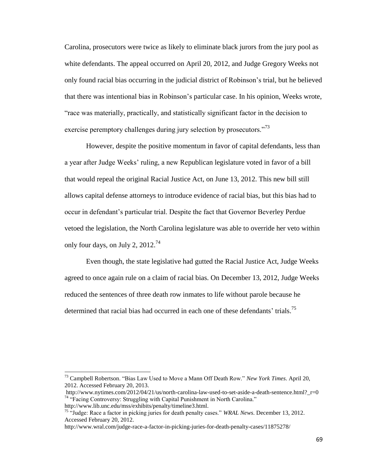Carolina, prosecutors were twice as likely to eliminate black jurors from the jury pool as white defendants. The appeal occurred on April 20, 2012, and Judge Gregory Weeks not only found racial bias occurring in the judicial district of Robinson's trial, but he believed that there was intentional bias in Robinson's particular case. In his opinion, Weeks wrote, "race was materially, practically, and statistically significant factor in the decision to exercise peremptory challenges during jury selection by prosecutors."<sup>73</sup>

However, despite the positive momentum in favor of capital defendants, less than a year after Judge Weeks' ruling, a new Republican legislature voted in favor of a bill that would repeal the original Racial Justice Act, on June 13, 2012. This new bill still allows capital defense attorneys to introduce evidence of racial bias, but this bias had to occur in defendant's particular trial. Despite the fact that Governor Beverley Perdue vetoed the legislation, the North Carolina legislature was able to override her veto within only four days, on July 2,  $2012.^{74}$ 

Even though, the state legislative had gutted the Racial Justice Act, Judge Weeks agreed to once again rule on a claim of racial bias. On December 13, 2012, Judge Weeks reduced the sentences of three death row inmates to life without parole because he determined that racial bias had occurred in each one of these defendants' trials.<sup>75</sup>

 $\overline{a}$ 

<sup>73</sup> Campbell Robertson. "Bias Law Used to Move a Mann Off Death Row." *New York Times*. April 20, 2012. Accessed February 20, 2013.

http://www.nytimes.com/2012/04/21/us/north-carolina-law-used-to-set-aside-a-death-sentence.html? r=0 <sup>74</sup> "Facing Controversy: Struggling with Capital Punishment in North Carolina."

http://www.lib.unc.edu/mss/exhibits/penalty/timeline3.html.

<sup>75</sup> "Judge: Race a factor in picking juries for death penalty cases." *WRAL News*. December 13, 2012. Accessed February 20, 2012.

http://www.wral.com/judge-race-a-factor-in-picking-juries-for-death-penalty-cases/11875278/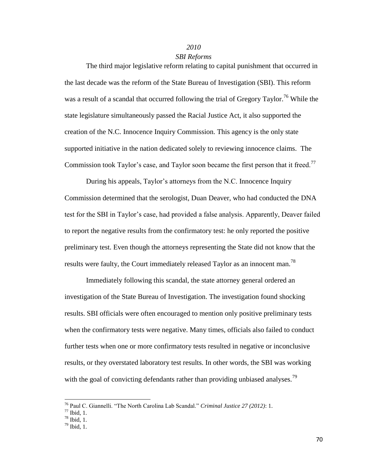## *2010*

# *SBI Reforms*

The third major legislative reform relating to capital punishment that occurred in the last decade was the reform of the State Bureau of Investigation (SBI). This reform was a result of a scandal that occurred following the trial of Gregory Taylor.<sup>76</sup> While the state legislature simultaneously passed the Racial Justice Act, it also supported the creation of the N.C. Innocence Inquiry Commission. This agency is the only state supported initiative in the nation dedicated solely to reviewing innocence claims. The Commission took Taylor's case, and Taylor soon became the first person that it freed.<sup>77</sup>

During his appeals, Taylor's attorneys from the N.C. Innocence Inquiry Commission determined that the serologist, Duan Deaver, who had conducted the DNA test for the SBI in Taylor's case, had provided a false analysis. Apparently, Deaver failed to report the negative results from the confirmatory test: he only reported the positive preliminary test. Even though the attorneys representing the State did not know that the results were faulty, the Court immediately released Taylor as an innocent man.<sup>78</sup>

Immediately following this scandal, the state attorney general ordered an investigation of the State Bureau of Investigation. The investigation found shocking results. SBI officials were often encouraged to mention only positive preliminary tests when the confirmatory tests were negative. Many times, officials also failed to conduct further tests when one or more confirmatory tests resulted in negative or inconclusive results, or they overstated laboratory test results. In other words, the SBI was working with the goal of convicting defendants rather than providing unbiased analyses.<sup>79</sup>

<sup>76</sup> Paul C. Giannelli. "The North Carolina Lab Scandal." *Criminal Justice 27 (2012)*: 1.

 $77$  Ibid, 1.

 $78$  Ibid, 1.

 $79$  Ibid, 1.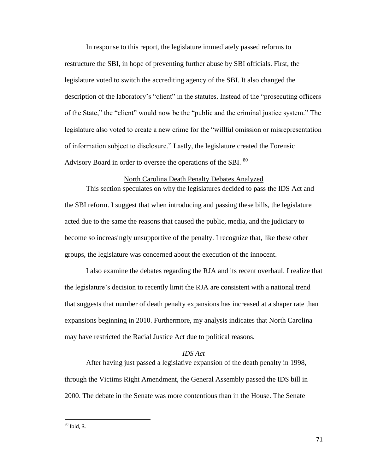In response to this report, the legislature immediately passed reforms to restructure the SBI, in hope of preventing further abuse by SBI officials. First, the legislature voted to switch the accrediting agency of the SBI. It also changed the description of the laboratory's "client" in the statutes. Instead of the "prosecuting officers of the State," the "client" would now be the "public and the criminal justice system." The legislature also voted to create a new crime for the "willful omission or misrepresentation of information subject to disclosure." Lastly, the legislature created the Forensic Advisory Board in order to oversee the operations of the SBI.  $^{80}$ 

# North Carolina Death Penalty Debates Analyzed

This section speculates on why the legislatures decided to pass the IDS Act and the SBI reform. I suggest that when introducing and passing these bills, the legislature acted due to the same the reasons that caused the public, media, and the judiciary to become so increasingly unsupportive of the penalty. I recognize that, like these other groups, the legislature was concerned about the execution of the innocent.

I also examine the debates regarding the RJA and its recent overhaul. I realize that the legislature's decision to recently limit the RJA are consistent with a national trend that suggests that number of death penalty expansions has increased at a shaper rate than expansions beginning in 2010. Furthermore, my analysis indicates that North Carolina may have restricted the Racial Justice Act due to political reasons.

# *IDS Act*

After having just passed a legislative expansion of the death penalty in 1998, through the Victims Right Amendment, the General Assembly passed the IDS bill in 2000. The debate in the Senate was more contentious than in the House. The Senate

 $^{80}$  Ibid, 3.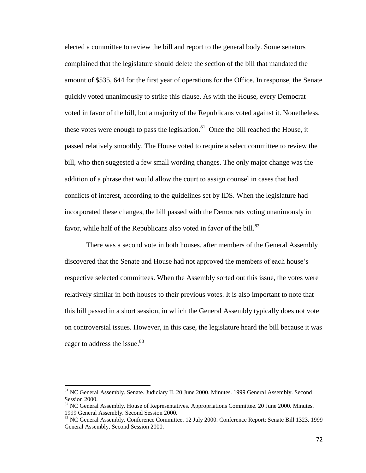elected a committee to review the bill and report to the general body. Some senators complained that the legislature should delete the section of the bill that mandated the amount of \$535, 644 for the first year of operations for the Office. In response, the Senate quickly voted unanimously to strike this clause. As with the House, every Democrat voted in favor of the bill, but a majority of the Republicans voted against it. Nonetheless, these votes were enough to pass the legislation.<sup>81</sup> Once the bill reached the House, it passed relatively smoothly. The House voted to require a select committee to review the bill, who then suggested a few small wording changes. The only major change was the addition of a phrase that would allow the court to assign counsel in cases that had conflicts of interest, according to the guidelines set by IDS. When the legislature had incorporated these changes, the bill passed with the Democrats voting unanimously in favor, while half of the Republicans also voted in favor of the bill. $82$ 

There was a second vote in both houses, after members of the General Assembly discovered that the Senate and House had not approved the members of each house's respective selected committees. When the Assembly sorted out this issue, the votes were relatively similar in both houses to their previous votes. It is also important to note that this bill passed in a short session, in which the General Assembly typically does not vote on controversial issues. However, in this case, the legislature heard the bill because it was eager to address the issue.<sup>83</sup>

l

<sup>&</sup>lt;sup>81</sup> NC General Assembly. Senate. Judiciary II. 20 June 2000. Minutes. 1999 General Assembly. Second Session 2000.

 $82$  NC General Assembly. House of Representatives. Appropriations Committee. 20 June 2000. Minutes. 1999 General Assembly. Second Session 2000.

<sup>83</sup> NC General Assembly. Conference Committee. 12 July 2000. Conference Report: Senate Bill 1323. 1999 General Assembly. Second Session 2000.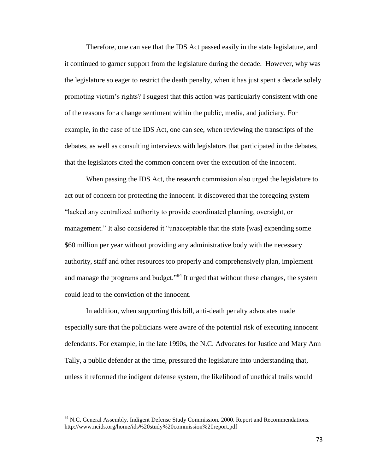Therefore, one can see that the IDS Act passed easily in the state legislature, and it continued to garner support from the legislature during the decade. However, why was the legislature so eager to restrict the death penalty, when it has just spent a decade solely promoting victim's rights? I suggest that this action was particularly consistent with one of the reasons for a change sentiment within the public, media, and judiciary. For example, in the case of the IDS Act, one can see, when reviewing the transcripts of the debates, as well as consulting interviews with legislators that participated in the debates, that the legislators cited the common concern over the execution of the innocent.

When passing the IDS Act, the research commission also urged the legislature to act out of concern for protecting the innocent. It discovered that the foregoing system "lacked any centralized authority to provide coordinated planning, oversight, or management." It also considered it "unacceptable that the state [was] expending some \$60 million per year without providing any administrative body with the necessary authority, staff and other resources too properly and comprehensively plan, implement and manage the programs and budget."<sup>84</sup> It urged that without these changes, the system could lead to the conviction of the innocent.

In addition, when supporting this bill, anti-death penalty advocates made especially sure that the politicians were aware of the potential risk of executing innocent defendants. For example, in the late 1990s, the N.C. Advocates for Justice and Mary Ann Tally, a public defender at the time, pressured the legislature into understanding that, unless it reformed the indigent defense system, the likelihood of unethical trails would

<sup>&</sup>lt;sup>84</sup> N.C. General Assembly. Indigent Defense Study Commission. 2000. Report and Recommendations. http://www.ncids.org/home/ids%20study%20commission%20report.pdf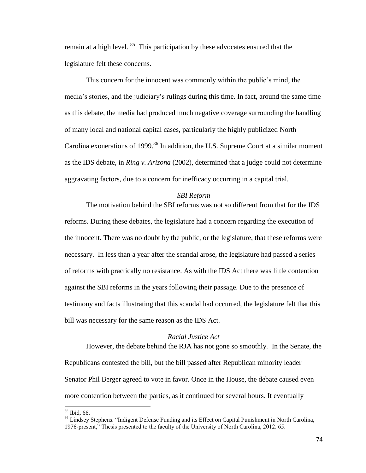remain at a high level.  $85$  This participation by these advocates ensured that the legislature felt these concerns.

This concern for the innocent was commonly within the public's mind, the media's stories, and the judiciary's rulings during this time. In fact, around the same time as this debate, the media had produced much negative coverage surrounding the handling of many local and national capital cases, particularly the highly publicized North Carolina exonerations of 1999.<sup>86</sup> In addition, the U.S. Supreme Court at a similar moment as the IDS debate, in *Ring v. Arizona* (2002), determined that a judge could not determine aggravating factors, due to a concern for inefficacy occurring in a capital trial.

## *SBI Reform*

The motivation behind the SBI reforms was not so different from that for the IDS reforms. During these debates, the legislature had a concern regarding the execution of the innocent. There was no doubt by the public, or the legislature, that these reforms were necessary. In less than a year after the scandal arose, the legislature had passed a series of reforms with practically no resistance. As with the IDS Act there was little contention against the SBI reforms in the years following their passage. Due to the presence of testimony and facts illustrating that this scandal had occurred, the legislature felt that this bill was necessary for the same reason as the IDS Act.

## *Racial Justice Act*

However, the debate behind the RJA has not gone so smoothly. In the Senate, the Republicans contested the bill, but the bill passed after Republican minority leader Senator Phil Berger agreed to vote in favor. Once in the House, the debate caused even more contention between the parties, as it continued for several hours. It eventually

<sup>85</sup> Ibid, 66.

<sup>86</sup> Lindsey Stephens. "Indigent Defense Funding and its Effect on Capital Punishment in North Carolina, 1976-present," Thesis presented to the faculty of the University of North Carolina, 2012. 65.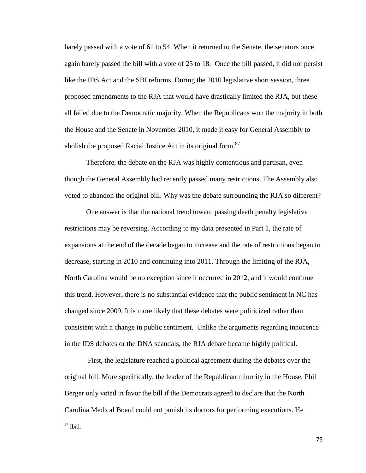barely passed with a vote of 61 to 54. When it returned to the Senate, the senators once again barely passed the bill with a vote of 25 to 18. Once the bill passed, it did not persist like the IDS Act and the SBI reforms. During the 2010 legislative short session, three proposed amendments to the RJA that would have drastically limited the RJA, but these all failed due to the Democratic majority. When the Republicans won the majority in both the House and the Senate in November 2010, it made it easy for General Assembly to abolish the proposed Racial Justice Act in its original form.<sup>87</sup>

Therefore, the debate on the RJA was highly contentious and partisan, even though the General Assembly had recently passed many restrictions. The Assembly also voted to abandon the original bill. Why was the debate surrounding the RJA so different?

One answer is that the national trend toward passing death penalty legislative restrictions may be reversing. According to my data presented in Part 1, the rate of expansions at the end of the decade began to increase and the rate of restrictions began to decrease, starting in 2010 and continuing into 2011. Through the limiting of the RJA, North Carolina would be no exception since it occurred in 2012, and it would continue this trend. However, there is no substantial evidence that the public sentiment in NC has changed since 2009. It is more likely that these debates were politicized rather than consistent with a change in public sentiment. Unlike the arguments regarding innocence in the IDS debates or the DNA scandals, the RJA debate became highly political.

First, the legislature reached a political agreement during the debates over the original bill. More specifically, the leader of the Republican minority in the House, Phil Berger only voted in favor the bill if the Democrats agreed to declare that the North Carolina Medical Board could not punish its doctors for performing executions. He

 $87$  Ibid.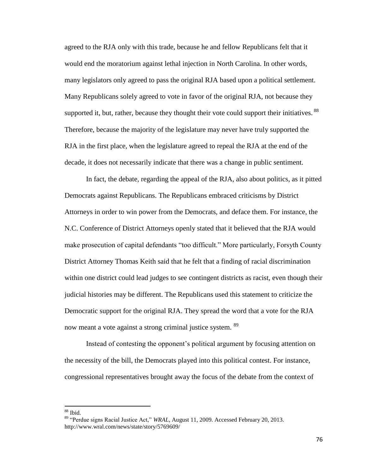agreed to the RJA only with this trade, because he and fellow Republicans felt that it would end the moratorium against lethal injection in North Carolina. In other words, many legislators only agreed to pass the original RJA based upon a political settlement. Many Republicans solely agreed to vote in favor of the original RJA, not because they supported it, but, rather, because they thought their vote could support their initiatives. <sup>88</sup> Therefore, because the majority of the legislature may never have truly supported the RJA in the first place, when the legislature agreed to repeal the RJA at the end of the decade, it does not necessarily indicate that there was a change in public sentiment.

In fact, the debate, regarding the appeal of the RJA, also about politics, as it pitted Democrats against Republicans. The Republicans embraced criticisms by District Attorneys in order to win power from the Democrats, and deface them. For instance, the N.C. Conference of District Attorneys openly stated that it believed that the RJA would make prosecution of capital defendants "too difficult." More particularly, Forsyth County District Attorney Thomas Keith said that he felt that a finding of racial discrimination within one district could lead judges to see contingent districts as racist, even though their judicial histories may be different. The Republicans used this statement to criticize the Democratic support for the original RJA. They spread the word that a vote for the RJA now meant a vote against a strong criminal justice system. <sup>89</sup>

Instead of contesting the opponent's political argument by focusing attention on the necessity of the bill, the Democrats played into this political contest. For instance, congressional representatives brought away the focus of the debate from the context of

 $88$  Ibid.

<sup>89</sup> "Perdue signs Racial Justice Act," *WRAL*, August 11, 2009. Accessed February 20, 2013. http://www.wral.com/news/state/story/5769609/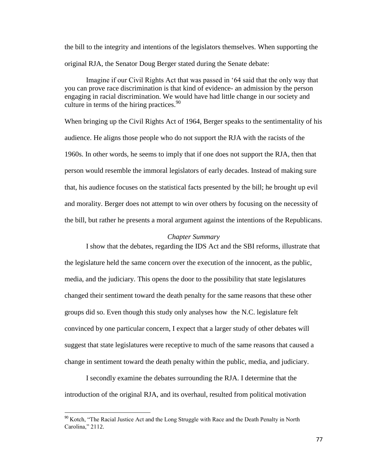the bill to the integrity and intentions of the legislators themselves. When supporting the original RJA, the Senator Doug Berger stated during the Senate debate:

Imagine if our Civil Rights Act that was passed in '64 said that the only way that you can prove race discrimination is that kind of evidence- an admission by the person engaging in racial discrimination. We would have had little change in our society and culture in terms of the hiring practices.<sup>90</sup>

When bringing up the Civil Rights Act of 1964, Berger speaks to the sentimentality of his audience. He aligns those people who do not support the RJA with the racists of the 1960s. In other words, he seems to imply that if one does not support the RJA, then that person would resemble the immoral legislators of early decades. Instead of making sure that, his audience focuses on the statistical facts presented by the bill; he brought up evil and morality. Berger does not attempt to win over others by focusing on the necessity of the bill, but rather he presents a moral argument against the intentions of the Republicans.

# *Chapter Summary*

I show that the debates, regarding the IDS Act and the SBI reforms, illustrate that the legislature held the same concern over the execution of the innocent, as the public, media, and the judiciary. This opens the door to the possibility that state legislatures changed their sentiment toward the death penalty for the same reasons that these other groups did so. Even though this study only analyses how the N.C. legislature felt convinced by one particular concern, I expect that a larger study of other debates will suggest that state legislatures were receptive to much of the same reasons that caused a change in sentiment toward the death penalty within the public, media, and judiciary.

I secondly examine the debates surrounding the RJA. I determine that the introduction of the original RJA, and its overhaul, resulted from political motivation

l

<sup>&</sup>lt;sup>90</sup> Kotch, "The Racial Justice Act and the Long Struggle with Race and the Death Penalty in North Carolina," 2112.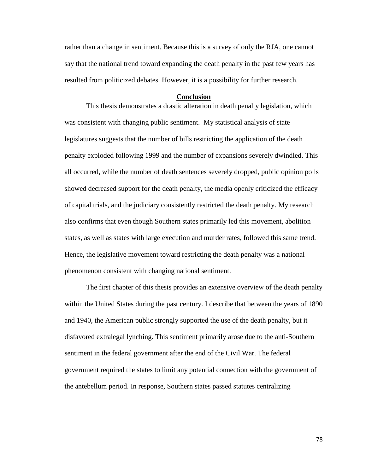rather than a change in sentiment. Because this is a survey of only the RJA, one cannot say that the national trend toward expanding the death penalty in the past few years has resulted from politicized debates. However, it is a possibility for further research.

#### **Conclusion**

This thesis demonstrates a drastic alteration in death penalty legislation, which was consistent with changing public sentiment. My statistical analysis of state legislatures suggests that the number of bills restricting the application of the death penalty exploded following 1999 and the number of expansions severely dwindled. This all occurred, while the number of death sentences severely dropped, public opinion polls showed decreased support for the death penalty, the media openly criticized the efficacy of capital trials, and the judiciary consistently restricted the death penalty. My research also confirms that even though Southern states primarily led this movement, abolition states, as well as states with large execution and murder rates, followed this same trend. Hence, the legislative movement toward restricting the death penalty was a national phenomenon consistent with changing national sentiment.

The first chapter of this thesis provides an extensive overview of the death penalty within the United States during the past century. I describe that between the years of 1890 and 1940, the American public strongly supported the use of the death penalty, but it disfavored extralegal lynching. This sentiment primarily arose due to the anti-Southern sentiment in the federal government after the end of the Civil War. The federal government required the states to limit any potential connection with the government of the antebellum period. In response, Southern states passed statutes centralizing

78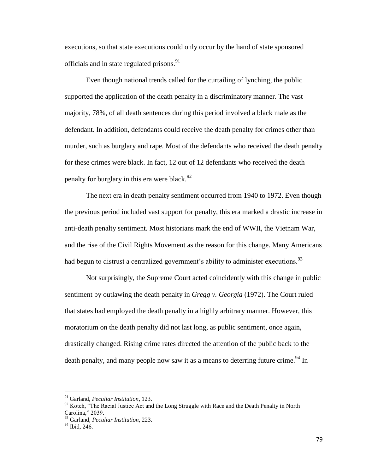executions, so that state executions could only occur by the hand of state sponsored officials and in state regulated prisons.<sup>91</sup>

Even though national trends called for the curtailing of lynching, the public supported the application of the death penalty in a discriminatory manner. The vast majority, 78%, of all death sentences during this period involved a black male as the defendant. In addition, defendants could receive the death penalty for crimes other than murder, such as burglary and rape. Most of the defendants who received the death penalty for these crimes were black. In fact, 12 out of 12 defendants who received the death penalty for burglary in this era were black.<sup>92</sup>

The next era in death penalty sentiment occurred from 1940 to 1972. Even though the previous period included vast support for penalty, this era marked a drastic increase in anti-death penalty sentiment. Most historians mark the end of WWII, the Vietnam War, and the rise of the Civil Rights Movement as the reason for this change. Many Americans had begun to distrust a centralized government's ability to administer executions.  $93$ 

Not surprisingly, the Supreme Court acted coincidently with this change in public sentiment by outlawing the death penalty in *Gregg v. Georgia* (1972). The Court ruled that states had employed the death penalty in a highly arbitrary manner. However, this moratorium on the death penalty did not last long, as public sentiment, once again, drastically changed. Rising crime rates directed the attention of the public back to the death penalty, and many people now saw it as a means to deterring future crime.<sup>94</sup> In

 $\overline{a}$ 

<sup>91</sup> Garland, *Peculiar Institution*, 123.

 $92$  Kotch, "The Racial Justice Act and the Long Struggle with Race and the Death Penalty in North Carolina," 2039.

<sup>93</sup> Garland, *Peculiar Institution*, 223.

 $94$  Ibid, 246.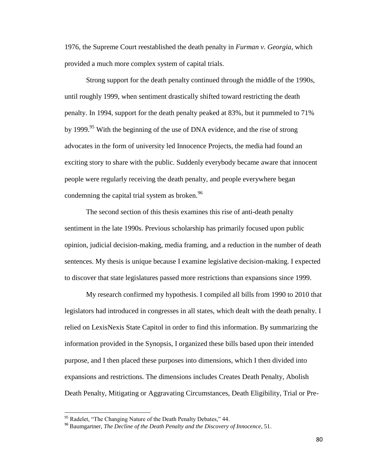1976, the Supreme Court reestablished the death penalty in *Furman v. Georgia*, which provided a much more complex system of capital trials.

Strong support for the death penalty continued through the middle of the 1990s, until roughly 1999, when sentiment drastically shifted toward restricting the death penalty. In 1994, support for the death penalty peaked at 83%, but it pummeled to 71% by 1999.<sup>95</sup> With the beginning of the use of DNA evidence, and the rise of strong advocates in the form of university led Innocence Projects, the media had found an exciting story to share with the public. Suddenly everybody became aware that innocent people were regularly receiving the death penalty, and people everywhere began condemning the capital trial system as broken.<sup>96</sup>

The second section of this thesis examines this rise of anti-death penalty sentiment in the late 1990s. Previous scholarship has primarily focused upon public opinion, judicial decision-making, media framing, and a reduction in the number of death sentences. My thesis is unique because I examine legislative decision-making. I expected to discover that state legislatures passed more restrictions than expansions since 1999.

My research confirmed my hypothesis. I compiled all bills from 1990 to 2010 that legislators had introduced in congresses in all states, which dealt with the death penalty. I relied on LexisNexis State Capitol in order to find this information. By summarizing the information provided in the Synopsis, I organized these bills based upon their intended purpose, and I then placed these purposes into dimensions, which I then divided into expansions and restrictions. The dimensions includes Creates Death Penalty, Abolish Death Penalty, Mitigating or Aggravating Circumstances, Death Eligibility, Trial or Pre-

l

<sup>&</sup>lt;sup>95</sup> Radelet, "The Changing Nature of the Death Penalty Debates," 44.

<sup>96</sup> Baumgartner, *The Decline of the Death Penalty and the Discovery of Innocence,* 51.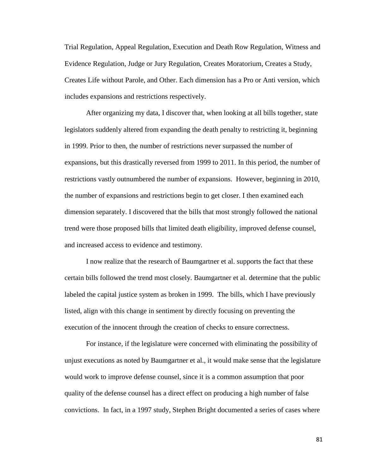Trial Regulation, Appeal Regulation, Execution and Death Row Regulation, Witness and Evidence Regulation, Judge or Jury Regulation, Creates Moratorium, Creates a Study, Creates Life without Parole, and Other. Each dimension has a Pro or Anti version, which includes expansions and restrictions respectively.

After organizing my data, I discover that, when looking at all bills together, state legislators suddenly altered from expanding the death penalty to restricting it, beginning in 1999. Prior to then, the number of restrictions never surpassed the number of expansions, but this drastically reversed from 1999 to 2011. In this period, the number of restrictions vastly outnumbered the number of expansions. However, beginning in 2010, the number of expansions and restrictions begin to get closer. I then examined each dimension separately. I discovered that the bills that most strongly followed the national trend were those proposed bills that limited death eligibility, improved defense counsel, and increased access to evidence and testimony.

I now realize that the research of Baumgartner et al. supports the fact that these certain bills followed the trend most closely. Baumgartner et al. determine that the public labeled the capital justice system as broken in 1999. The bills, which I have previously listed, align with this change in sentiment by directly focusing on preventing the execution of the innocent through the creation of checks to ensure correctness.

For instance, if the legislature were concerned with eliminating the possibility of unjust executions as noted by Baumgartner et al., it would make sense that the legislature would work to improve defense counsel, since it is a common assumption that poor quality of the defense counsel has a direct effect on producing a high number of false convictions. In fact, in a 1997 study, Stephen Bright documented a series of cases where

81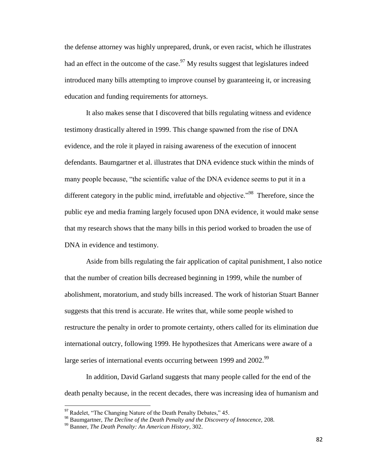the defense attorney was highly unprepared, drunk, or even racist, which he illustrates had an effect in the outcome of the case.  $\frac{97}{9}$  My results suggest that legislatures indeed introduced many bills attempting to improve counsel by guaranteeing it, or increasing education and funding requirements for attorneys.

It also makes sense that I discovered that bills regulating witness and evidence testimony drastically altered in 1999. This change spawned from the rise of DNA evidence, and the role it played in raising awareness of the execution of innocent defendants. Baumgartner et al. illustrates that DNA evidence stuck within the minds of many people because, "the scientific value of the DNA evidence seems to put it in a different category in the public mind, irrefutable and objective."<sup>98</sup> Therefore, since the public eye and media framing largely focused upon DNA evidence, it would make sense that my research shows that the many bills in this period worked to broaden the use of DNA in evidence and testimony.

Aside from bills regulating the fair application of capital punishment, I also notice that the number of creation bills decreased beginning in 1999, while the number of abolishment, moratorium, and study bills increased. The work of historian Stuart Banner suggests that this trend is accurate. He writes that, while some people wished to restructure the penalty in order to promote certainty, others called for its elimination due international outcry, following 1999. He hypothesizes that Americans were aware of a large series of international events occurring between 1999 and 2002.<sup>99</sup>

In addition, David Garland suggests that many people called for the end of the death penalty because, in the recent decades, there was increasing idea of humanism and

 $97$  Radelet, "The Changing Nature of the Death Penalty Debates," 45.

<sup>98</sup> Baumgartner, *The Decline of the Death Penalty and the Discovery of Innocence,* 208.

<sup>99</sup> Banner, *The Death Penalty: An American History*, 302.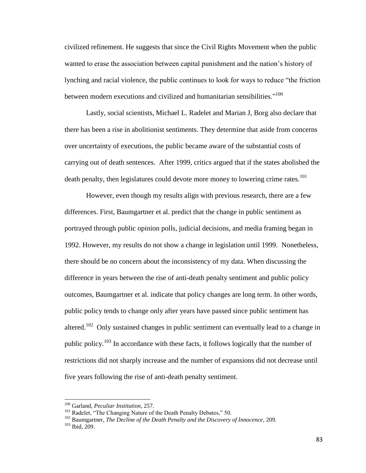civilized refinement. He suggests that since the Civil Rights Movement when the public wanted to erase the association between capital punishment and the nation's history of lynching and racial violence, the public continues to look for ways to reduce "the friction between modern executions and civilized and humanitarian sensibilities."<sup>100</sup>

Lastly, social scientists, Michael L. Radelet and Marian J, Borg also declare that there has been a rise in abolitionist sentiments. They determine that aside from concerns over uncertainty of executions, the public became aware of the substantial costs of carrying out of death sentences. After 1999, critics argued that if the states abolished the death penalty, then legislatures could devote more money to lowering crime rates.<sup>101</sup>

However, even though my results align with previous research, there are a few differences. First, Baumgartner et al. predict that the change in public sentiment as portrayed through public opinion polls, judicial decisions, and media framing began in 1992. However, my results do not show a change in legislation until 1999. Nonetheless, there should be no concern about the inconsistency of my data. When discussing the difference in years between the rise of anti-death penalty sentiment and public policy outcomes, Baumgartner et al. indicate that policy changes are long term. In other words, public policy tends to change only after years have passed since public sentiment has altered.<sup>102</sup> Only sustained changes in public sentiment can eventually lead to a change in public policy.<sup>103</sup> In accordance with these facts, it follows logically that the number of restrictions did not sharply increase and the number of expansions did not decrease until five years following the rise of anti-death penalty sentiment.

<sup>100</sup> Garland, *Peculiar Institution*, 257.

<sup>&</sup>lt;sup>101</sup> Radelet, "The Changing Nature of the Death Penalty Debates," 50.

<sup>102</sup> Baumgartner, *The Decline of the Death Penalty and the Discovery of Innocence,* 209.

<sup>103</sup> Ibid, 209.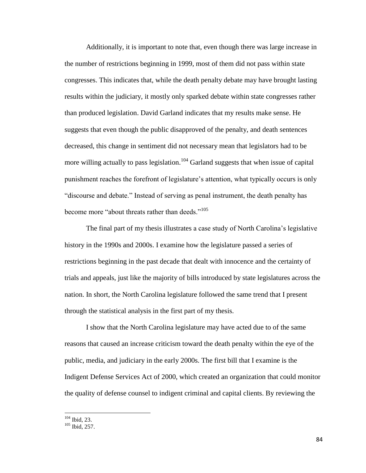Additionally, it is important to note that, even though there was large increase in the number of restrictions beginning in 1999, most of them did not pass within state congresses. This indicates that, while the death penalty debate may have brought lasting results within the judiciary, it mostly only sparked debate within state congresses rather than produced legislation. David Garland indicates that my results make sense. He suggests that even though the public disapproved of the penalty, and death sentences decreased, this change in sentiment did not necessary mean that legislators had to be more willing actually to pass legislation.<sup>104</sup> Garland suggests that when issue of capital punishment reaches the forefront of legislature's attention, what typically occurs is only "discourse and debate." Instead of serving as penal instrument, the death penalty has become more "about threats rather than deeds."<sup>105</sup>

The final part of my thesis illustrates a case study of North Carolina's legislative history in the 1990s and 2000s. I examine how the legislature passed a series of restrictions beginning in the past decade that dealt with innocence and the certainty of trials and appeals, just like the majority of bills introduced by state legislatures across the nation. In short, the North Carolina legislature followed the same trend that I present through the statistical analysis in the first part of my thesis.

I show that the North Carolina legislature may have acted due to of the same reasons that caused an increase criticism toward the death penalty within the eye of the public, media, and judiciary in the early 2000s. The first bill that I examine is the Indigent Defense Services Act of 2000, which created an organization that could monitor the quality of defense counsel to indigent criminal and capital clients. By reviewing the

 $104$  Ibid, 23.

<sup>105</sup> Ibid, 257.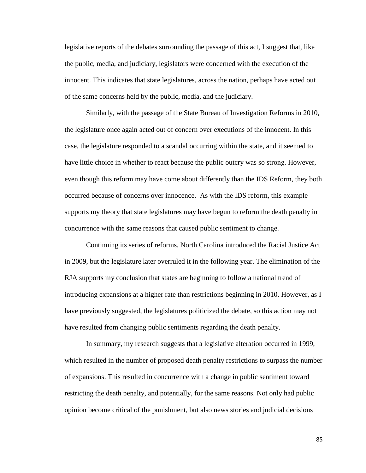legislative reports of the debates surrounding the passage of this act, I suggest that, like the public, media, and judiciary, legislators were concerned with the execution of the innocent. This indicates that state legislatures, across the nation, perhaps have acted out of the same concerns held by the public, media, and the judiciary.

Similarly, with the passage of the State Bureau of Investigation Reforms in 2010, the legislature once again acted out of concern over executions of the innocent. In this case, the legislature responded to a scandal occurring within the state, and it seemed to have little choice in whether to react because the public outcry was so strong. However, even though this reform may have come about differently than the IDS Reform, they both occurred because of concerns over innocence. As with the IDS reform, this example supports my theory that state legislatures may have begun to reform the death penalty in concurrence with the same reasons that caused public sentiment to change.

Continuing its series of reforms, North Carolina introduced the Racial Justice Act in 2009, but the legislature later overruled it in the following year. The elimination of the RJA supports my conclusion that states are beginning to follow a national trend of introducing expansions at a higher rate than restrictions beginning in 2010. However, as I have previously suggested, the legislatures politicized the debate, so this action may not have resulted from changing public sentiments regarding the death penalty.

In summary, my research suggests that a legislative alteration occurred in 1999, which resulted in the number of proposed death penalty restrictions to surpass the number of expansions. This resulted in concurrence with a change in public sentiment toward restricting the death penalty, and potentially, for the same reasons. Not only had public opinion become critical of the punishment, but also news stories and judicial decisions

85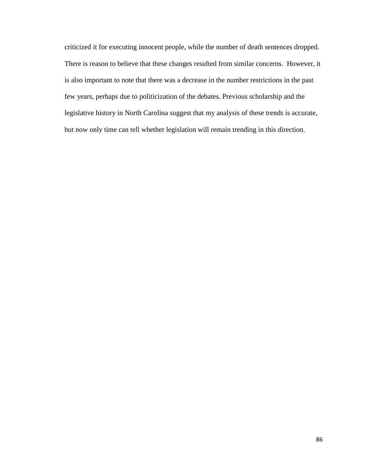criticized it for executing innocent people, while the number of death sentences dropped. There is reason to believe that these changes resulted from similar concerns. However, it is also important to note that there was a decrease in the number restrictions in the past few years, perhaps due to politicization of the debates. Previous scholarship and the legislative history in North Carolina suggest that my analysis of these trends is accurate, but now only time can tell whether legislation will remain trending in this direction.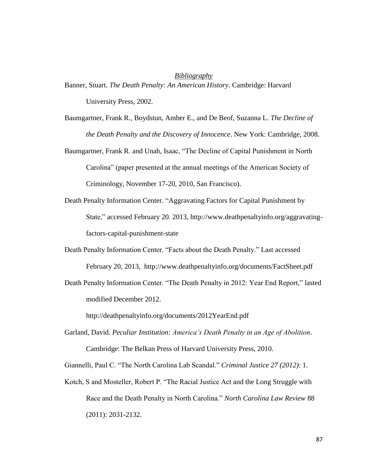## *Bibliography*

- Banner, Stuart. *The Death Penalty: An American History*. Cambridge: Harvard University Press, 2002.
- Baumgartner, Frank R., Boydstun, Amber E., and De Beof, Suzanna L. *The Decline of the Death Penalty and the Discovery of Innocence*. New York: Cambridge, 2008.
- Baumgartner, Frank R. and Unah, Isaac, "The Decline of Capital Punishment in North Carolina" (paper presented at the annual meetings of the American Society of Criminology, November 17-20, 2010, San Francisco).
- Death Penalty Information Center. "Aggravating Factors for Capital Punishment by State," accessed February 20. 2013, http://www.deathpenaltyinfo.org/aggravatingfactors-capital-punishment-state
- Death Penalty Information Center. "Facts about the Death Penalty." Last accessed February 20, 2013, http://www.deathpenaltyinfo.org/documents/FactSheet.pdf
- Death Penalty Information Center. "The Death Penalty in 2012: Year End Report," lasted modified December 2012.

http://deathpenaltyinfo.org/documents/2012YearEnd.pdf

Garland, David. *Peculiar Institution: America's Death Penalty in an Age of Abolition*. Cambridge: The Belkan Press of Harvard University Press, 2010.

Giannelli, Paul C. "The North Carolina Lab Scandal." *Criminal Justice 27 (2012)*: 1.

Kotch, S and Mosteller, Robert P. "The Racial Justice Act and the Long Struggle with Race and the Death Penalty in North Carolina." *North Carolina Law Review* 88 (2011): 2031-2132.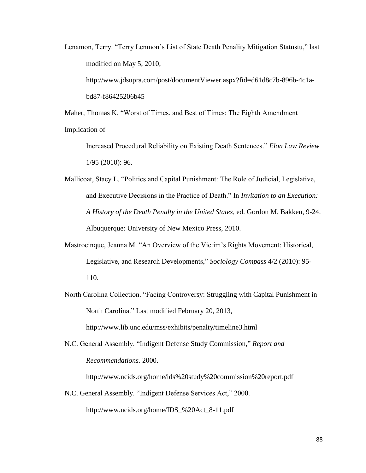Lenamon, Terry. "Terry Lenmon's List of State Death Penality Mitigation Statustu," last modified on May 5, 2010,

http://www.jdsupra.com/post/documentViewer.aspx?fid=d61d8c7b-896b-4c1abd87-f86425206b45

Maher, Thomas K. "Worst of Times, and Best of Times: The Eighth Amendment Implication of

Increased Procedural Reliability on Existing Death Sentences." *Elon Law Review* 1/95 (2010): 96.

Mallicoat, Stacy L. "Politics and Capital Punishment: The Role of Judicial, Legislative, and Executive Decisions in the Practice of Death." In *Invitation to an Execution: A History of the Death Penalty in the United States*, ed. Gordon M. Bakken, 9-24. Albuquerque: University of New Mexico Press, 2010.

- Mastrocinque, Jeanna M. "An Overview of the Victim's Rights Movement: Historical, Legislative, and Research Developments," *Sociology Compass* 4/2 (2010): 95- 110.
- North Carolina Collection. "Facing Controversy: Struggling with Capital Punishment in North Carolina." Last modified February 20, 2013,

http://www.lib.unc.edu/mss/exhibits/penalty/timeline3.html

N.C. General Assembly. "Indigent Defense Study Commission," *Report and Recommendations.* 2000.

http://www.ncids.org/home/ids%20study%20commission%20report.pdf

N.C. General Assembly. "Indigent Defense Services Act," 2000. http://www.ncids.org/home/IDS\_%20Act\_8-11.pdf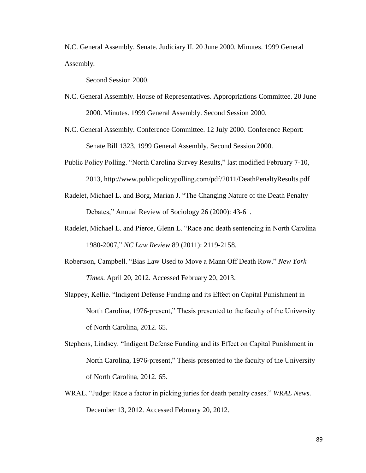N.C. General Assembly. Senate. Judiciary II. 20 June 2000. Minutes. 1999 General Assembly.

Second Session 2000.

- N.C. General Assembly. House of Representatives. Appropriations Committee. 20 June 2000. Minutes. 1999 General Assembly. Second Session 2000.
- N.C. General Assembly. Conference Committee. 12 July 2000. Conference Report: Senate Bill 1323. 1999 General Assembly. Second Session 2000.
- Public Policy Polling. "North Carolina Survey Results," last modified February 7-10, 2013, http://www.publicpolicypolling.com/pdf/2011/DeathPenaltyResults.pdf
- Radelet, Michael L. and Borg, Marian J. "The Changing Nature of the Death Penalty Debates," Annual Review of Sociology 26 (2000): 43-61.
- Radelet, Michael L. and Pierce, Glenn L. "Race and death sentencing in North Carolina 1980-2007," *NC Law Review* 89 (2011): 2119-2158.
- Robertson, Campbell. "Bias Law Used to Move a Mann Off Death Row." *New York Times*. April 20, 2012. Accessed February 20, 2013.
- Slappey, Kellie. "Indigent Defense Funding and its Effect on Capital Punishment in North Carolina, 1976-present," Thesis presented to the faculty of the University of North Carolina, 2012. 65.
- Stephens, Lindsey. "Indigent Defense Funding and its Effect on Capital Punishment in North Carolina, 1976-present," Thesis presented to the faculty of the University of North Carolina, 2012. 65.
- WRAL. "Judge: Race a factor in picking juries for death penalty cases." *WRAL News*. December 13, 2012. Accessed February 20, 2012.